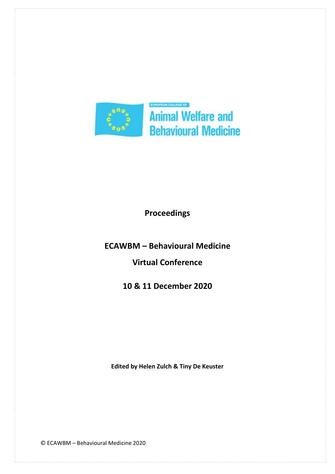

**Proceedings** 

**ECAWBM – Behavioural Medicine**

**Virtual Conference** 

**10 & 11 December 2020**

**Edited by Helen Zulch & Tiny De Keuster** 

© ECAWBM – Behavioural Medicine 2020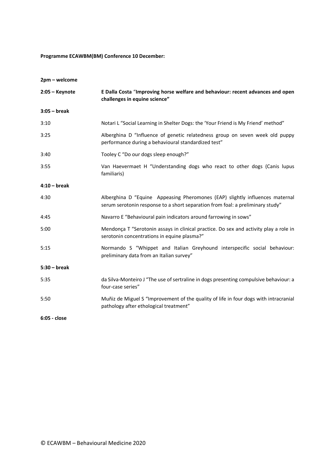**Programme ECAWBM(BM) Conference 10 December:**

| 2pm - welcome    |                                                                                                                                                                |
|------------------|----------------------------------------------------------------------------------------------------------------------------------------------------------------|
| $2:05 -$ Keynote | E Dalla Costa "Improving horse welfare and behaviour: recent advances and open<br>challenges in equine science"                                                |
| $3:05 - break$   |                                                                                                                                                                |
| 3:10             | Notari L "Social Learning in Shelter Dogs: the 'Your Friend is My Friend' method"                                                                              |
| 3:25             | Alberghina D "Influence of genetic relatedness group on seven week old puppy<br>performance during a behavioural standardized test"                            |
| 3:40             | Tooley C "Do our dogs sleep enough?"                                                                                                                           |
| 3:55             | Van Haevermaet H "Understanding dogs who react to other dogs (Canis lupus<br>familiaris)                                                                       |
| $4:10 - break$   |                                                                                                                                                                |
| 4:30             | Alberghina D "Equine Appeasing Pheromones (EAP) slightly influences maternal<br>serum serotonin response to a short separation from foal: a preliminary study" |
| 4:45             | Navarro E "Behavioural pain indicators around farrowing in sows"                                                                                               |
| 5:00             | Mendonça T "Serotonin assays in clinical practice. Do sex and activity play a role in<br>serotonin concentrations in equine plasma?"                           |
| 5:15             | Normando S "Whippet and Italian Greyhound interspecific social behaviour:<br>preliminary data from an Italian survey"                                          |
| $5:30 - break$   |                                                                                                                                                                |
| 5:35             | da Silva-Monteiro J "The use of sertraline in dogs presenting compulsive behaviour: a<br>four-case series"                                                     |
| 5:50             | Muñiz de Miguel S "Improvement of the quality of life in four dogs with intracranial<br>pathology after ethological treatment"                                 |
|                  |                                                                                                                                                                |

**6:05 - close**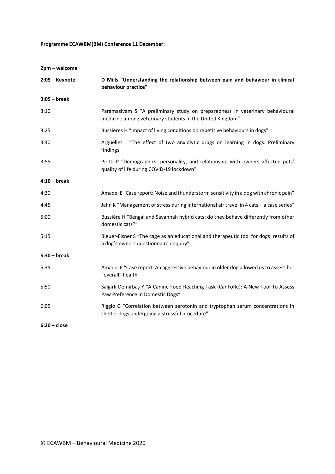# **Programme ECAWBM(BM) Conference 11 December:**

**2pm – welcome**

| $2:05 -$ Keynote | D Mills "Understanding the relationship between pain and behaviour in clinical<br>behaviour practice"                                     |
|------------------|-------------------------------------------------------------------------------------------------------------------------------------------|
| $3:05 - break$   |                                                                                                                                           |
| 3:10             | Paramasivam S "A preliminary study on preparedness in veterinary behavioural<br>medicine among veterinary students in the United Kingdom" |
| 3:25             | Bussières H "Impact of living conditions on repetitive behaviours in dogs"                                                                |
| 3:40             | Argüelles J "The effect of two anxiolytic drugs on learning in dogs: Preliminary<br>findings"                                             |
| 3:55             | Piotti P "Demographics, personality, and relationship with owners affected pets'<br>quality of life during COVID-19 lockdown"             |
| $4:10 - break$   |                                                                                                                                           |
| 4:30             | Amadei E "Case report: Noise and thunderstorm sensitivity in a dog with chronic pain"                                                     |
| 4:45             | Jahn K "Management of stress during international air travel in 4 cats - a case series"                                                   |
| 5:00             | Bussière H "Bengal and Savannah hybrid cats: do they behave differently from other<br>domestic cats?"                                     |
| 5:15             | Bleuer-Elsner S "The cage as an educational and therapeutic tool for dogs: results of<br>a dog's owners questionnaire enquiry"            |
| $5:30 - break$   |                                                                                                                                           |
| 5:35             | Amadei E "Case report: An aggressive behaviour in older dog allowed us to assess her<br>"overall" health"                                 |
| 5:50             | Salgirli Demirbaş Y "A Canine Food Reaching Task (CanFoRe): A New Tool To Assess<br>Paw Preference In Domestic Dogs"                      |
| 6:05             | Riggio G "Correlation between serotonin and tryptophan serum concentrations in<br>shelter dogs undergoing a stressful procedure"          |
| $6:20 - close$   |                                                                                                                                           |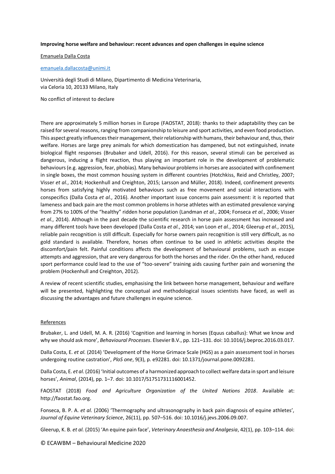### **Improving horse welfare and behaviour: recent advances and open challenges in equine science**

Emanuela Dalla Costa

### [emanuela.dallacosta@unimi.it](mailto:emanuela.dallacosta@unimi.it)

Università degli Studi di Milano, Dipartimento di Medicina Veterinaria, via Celoria 10, 20133 Milano, Italy

No conflict of interest to declare

There are approximately 5 million horses in Europe (FAOSTAT, 2018): thanks to their adaptability they can be raised for several reasons, ranging from companionship to leisure and sport activities, and even food production. This aspect greatly influences their management, their relationship with humans, their behaviour and, thus, their welfare. Horses are large prey animals for which domestication has dampened, but not extinguished, innate biological flight responses (Brubaker and Udell, 2016). For this reason, several stimuli can be perceived as dangerous, inducing a flight reaction, thus playing an important role in the development of problematic behaviours (e.g. aggression, fear, phobias). Many behaviour problems in horses are associated with confinement in single boxes, the most common housing system in different countries (Hotchkiss, Reid and Christley, 2007; Visser *et al.*, 2014; Hockenhull and Creighton, 2015; Larsson and Müller, 2018). Indeed, confinement prevents horses from satisfying highly motivated behaviours such as free movement and social interactions with conspecifics (Dalla Costa *et al.*, 2016). Another important issue concerns pain assessment: it is reported that lameness and back pain are the most common problems in horse athletes with an estimated prevalence varying from 27% to 100% of the "healthy" ridden horse population (Landman *et al.*, 2004; Fonseca *et al.*, 2006; Visser *et al.*, 2014). Although in the past decade the scientific research in horse pain assessment has increased and many different tools have been developed (Dalla Costa *et al.*, 2014; van Loon *et al.*, 2014; Gleerup *et al.*, 2015), reliable pain recognition is still difficult. Especially for horse owners pain recognition is still very difficult, as no gold standard is available. Therefore, horses often continue to be used in athletic activities despite the discomfort/pain felt. Painful conditions affects the development of behavioural problems, such as escape attempts and aggression, that are very dangerous for both the horses and the rider. On the other hand, reduced sport performance could lead to the use of "too-severe" training aids causing further pain and worsening the problem (Hockenhull and Creighton, 2012).

A review of recent scientific studies, emphasising the link between horse management, behaviour and welfare will be presented, highlighting the conceptual and methodological issues scientists have faced, as well as discussing the advantages and future challenges in equine science.

#### References

Brubaker, L. and Udell, M. A. R. (2016) 'Cognition and learning in horses (Equus caballus): What we know and why we should ask more', *Behavioural Processes*. Elsevier B.V., pp. 121–131. doi: 10.1016/j.beproc.2016.03.017.

Dalla Costa, E. *et al.* (2014) 'Development of the Horse Grimace Scale (HGS) as a pain assessment tool in horses undergoing routine castration', *PloS one*, 9(3), p. e92281. doi: 10.1371/journal.pone.0092281.

Dalla Costa, E. *et al.* (2016) 'Initial outcomes of a harmonized approach to collect welfare data in sport and leisure horses', *Animal*, (2014), pp. 1–7. doi: 10.1017/S1751731116001452.

FAOSTAT (2018) *Food and Agriculture Organization of the United Nations 2018*. Available at: http://faostat.fao.org.

Fonseca, B. P. A. *et al.* (2006) 'Thermography and ultrasonography in back pain diagnosis of equine athletes', *Journal of Equine Veterinary Science*, 26(11), pp. 507–516. doi: 10.1016/j.jevs.2006.09.007.

Gleerup, K. B. *et al.* (2015) 'An equine pain face', *Veterinary Anaesthesia and Analgesia*, 42(1), pp. 103–114. doi:

© ECAWBM – Behavioural Medicine 2020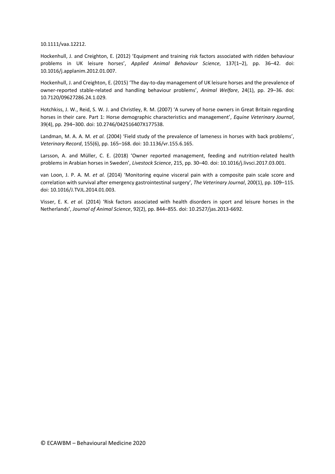10.1111/vaa.12212.

Hockenhull, J. and Creighton, E. (2012) 'Equipment and training risk factors associated with ridden behaviour problems in UK leisure horses', *Applied Animal Behaviour Science*, 137(1–2), pp. 36–42. doi: 10.1016/j.applanim.2012.01.007.

Hockenhull, J. and Creighton, E. (2015) 'The day-to-day management of UK leisure horses and the prevalence of owner-reported stable-related and handling behaviour problems', *Animal Welfare*, 24(1), pp. 29–36. doi: 10.7120/09627286.24.1.029.

Hotchkiss, J. W., Reid, S. W. J. and Christley, R. M. (2007) 'A survey of horse owners in Great Britain regarding horses in their care. Part 1: Horse demographic characteristics and management', *Equine Veterinary Journal*, 39(4), pp. 294–300. doi: 10.2746/042516407X177538.

Landman, M. A. A. M. *et al.* (2004) 'Field study of the prevalence of lameness in horses with back problems', *Veterinary Record*, 155(6), pp. 165–168. doi: 10.1136/vr.155.6.165.

Larsson, A. and Müller, C. E. (2018) 'Owner reported management, feeding and nutrition-related health problems in Arabian horses in Sweden', *Livestock Science*, 215, pp. 30–40. doi: 10.1016/j.livsci.2017.03.001.

van Loon, J. P. A. M. *et al.* (2014) 'Monitoring equine visceral pain with a composite pain scale score and correlation with survival after emergency gastrointestinal surgery', *The Veterinary Journal*, 200(1), pp. 109–115. doi: 10.1016/J.TVJL.2014.01.003.

Visser, E. K. *et al.* (2014) 'Risk factors associated with health disorders in sport and leisure horses in the Netherlands', *Journal of Animal Science*, 92(2), pp. 844–855. doi: 10.2527/jas.2013-6692.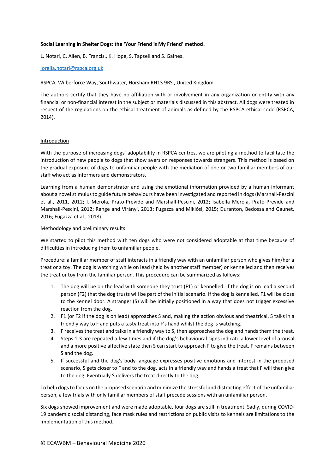# **Social Learning in Shelter Dogs: the 'Your Friend is My Friend' method.**

L. Notari, C. Allen, B. Francis., K. Hope, S. Tapsell and S. Gaines.

# [lorella.notari@rspca.org.uk](mailto:lorella.notari@rspca.org.uk)

RSPCA, Wilberforce Way, Southwater, Horsham RH13 9RS , United Kingdom

The authors certify that they have no affiliation with or involvement in any organization or entity with any financial or non-financial interest in the subject or materials discussed in this abstract. All dogs were treated in respect of the regulations on the ethical treatment of animals as defined by the RSPCA ethical code (RSPCA, 2014).

### Introduction

With the purpose of increasing dogs' adoptability in RSPCA centres, we are piloting a method to facilitate the introduction of new people to dogs that show aversion responses towards strangers. This method is based on the gradual exposure of dogs to unfamiliar people with the mediation of one or two familiar members of our staff who act as informers and demonstrators.

Learning from a human demonstrator and using the emotional information provided by a human informant about a novel stimulus to guide future behaviours have been investigated and reported in dogs (Marshall-Pescini et al., 2011, 2012; I. Merola, Prato-Previde and Marshall-Pescini, 2012; Isabella Merola, Prato-Previde and Marshall-Pescini, 2012; Range and Virányi, 2013; Fugazza and Miklósi, 2015; Duranton, Bedossa and Gaunet, 2016; Fugazza et al., 2018).

### Methodology and preliminary results

We started to pilot this method with ten dogs who were not considered adoptable at that time because of difficulties in introducing them to unfamiliar people.

Procedure: a familiar member of staff interacts in a friendly way with an unfamiliar person who gives him/her a treat or a toy. The dog is watching while on lead (held by another staff member) or kennelled and then receives the treat or toy from the familiar person. This procedure can be summarized as follows:

- 1. The dog will be on the lead with someone they trust (F1) or kennelled. If the dog is on lead a second person (F2) that the dog trusts will be part of the initial scenario. If the dog is kennelled, F1 will be close to the kennel door. A stranger (S) will be initially positioned in a way that does not trigger excessive reaction from the dog.
- 2. F1 (or F2 if the dog is on lead) approaches S and, making the action obvious and theatrical, S talks in a friendly way to F and puts a tasty treat into F's hand whilst the dog is watching.
- 3. F receives the treat and talks in a friendly way to S, then approaches the dog and hands them the treat.
- 4. Steps 1-3 are repeated a few times and if the dog's behavioural signs indicate a lower level of arousal and a more positive affective state then S can start to approach F to give the treat. F remains between S and the dog.
- 5. If successful and the dog's body language expresses positive emotions and interest in the proposed scenario, S gets closer to F and to the dog, acts in a friendly way and hands a treat that F will then give to the dog. Eventually S delivers the treat directly to the dog.

To help dogs to focus on the proposed scenario and minimize the stressful and distracting effect of the unfamiliar person, a few trials with only familiar members of staff precede sessions with an unfamiliar person.

Six dogs showed improvement and were made adoptable, four dogs are still in treatment. Sadly, during COVID-19 pandemic social distancing, face mask rules and restrictions on public visits to kennels are limitations to the implementation of this method.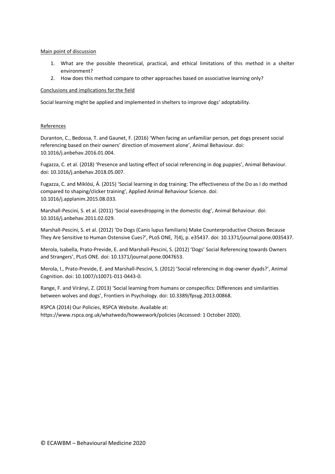# Main point of discussion

- 1. What are the possible theoretical, practical, and ethical limitations of this method in a shelter environment?
- 2. How does this method compare to other approaches based on associative learning only?

# Conclusions and implications for the field

Social learning might be applied and implemented in shelters to improve dogs' adoptability.

# References

Duranton, C., Bedossa, T. and Gaunet, F. (2016) 'When facing an unfamiliar person, pet dogs present social referencing based on their owners' direction of movement alone', Animal Behaviour. doi: 10.1016/j.anbehav.2016.01.004.

Fugazza, C. et al. (2018) 'Presence and lasting effect of social referencing in dog puppies', Animal Behaviour. doi: 10.1016/j.anbehav.2018.05.007.

Fugazza, C. and Miklósi, Á. (2015) 'Social learning in dog training: The effectiveness of the Do as I do method compared to shaping/clicker training', Applied Animal Behaviour Science. doi: 10.1016/j.applanim.2015.08.033.

Marshall-Pescini, S. et al. (2011) 'Social eavesdropping in the domestic dog', Animal Behaviour. doi: 10.1016/j.anbehav.2011.02.029.

Marshall-Pescini, S. et al. (2012) 'Do Dogs (Canis lupus familiaris) Make Counterproductive Choices Because They Are Sensitive to Human Ostensive Cues?', PLoS ONE, 7(4), p. e35437. doi: 10.1371/journal.pone.0035437.

Merola, Isabella, Prato-Previde, E. and Marshall-Pescini, S. (2012) 'Dogs' Social Referencing towards Owners and Strangers', PLoS ONE. doi: 10.1371/journal.pone.0047653.

Merola, I., Prato-Previde, E. and Marshall-Pescini, S. (2012) 'Social referencing in dog-owner dyads?', Animal Cognition. doi: 10.1007/s10071-011-0443-0.

Range, F. and Virányi, Z. (2013) 'Social learning from humans or conspecifics: Differences and similarities between wolves and dogs', Frontiers in Psychology. doi: 10.3389/fpsyg.2013.00868.

RSPCA (2014) Our Policies, RSPCA Website. Available at: https://www.rspca.org.uk/whatwedo/howwework/policies (Accessed: 1 October 2020).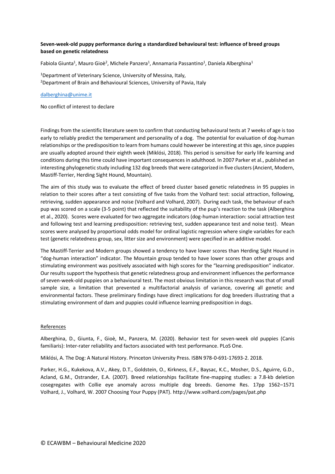# **Seven-week-old puppy performance during a standardized behavioural test: influence of breed groups based on genetic relatedness**

Fabiola Giunta<sup>1</sup>, Mauro Gioè<sup>2</sup>, Michele Panzera<sup>1</sup>, Annamaria Passantino<sup>1</sup>, Daniela Alberghina<sup>1</sup>

<sup>1</sup>Department of Veterinary Science, University of Messina, Italy, <sup>2</sup>Department of Brain and Behavioural Sciences, University of Pavia, Italy

### [dalberghina@unime.it](mailto:dalberghina@unime.it)

No conflict of interest to declare

Findings from the scientific literature seem to confirm that conducting behavioural tests at 7 weeks of age is too early to reliably predict the temperament and personality of a dog. The potential for evaluation of dog-human relationships or the predisposition to learn from humans could however be interesting at this age, since puppies are usually adopted around their eighth week (Miklósi, 2018). This period is sensitive for early life learning and conditions during this time could have important consequences in adulthood. In 2007 Parker et al., published an interesting phylogenetic study including 132 dog breeds that were categorized in five clusters (Ancient, Modern, Mastiff-Terrier, Herding Sight Hound, Mountain).

The aim of this study was to evaluate the effect of breed cluster based genetic relatedness in 95 puppies in relation to their scores after a test consisting of five tasks from the Volhard test: social attraction, following, retrieving, sudden appearance and noise (Volhard and Volhard, 2007). During each task, the behaviour of each pup was scored on a scale (3-5 point) that reflected the suitability of the pup's reaction to the task (Alberghina et al., 2020). Scores were evaluated for two aggregate indicators (dog-human interaction: social attraction test and following test and learning predisposition: retrieving test, sudden appearance test and noise test). Mean scores were analysed by proportional odds model for ordinal logistic regression where single variables for each test (genetic relatedness group, sex, litter size and environment) were specified in an additive model.

The Mastiff-Terrier and Modern groups showed a tendency to have lower scores than Herding Sight Hound in "dog-human interaction" indicator. The Mountain group tended to have lower scores than other groups and stimulating environment was positively associated with high scores for the "learning predisposition" indicator. Our results support the hypothesis that genetic relatedness group and environment influences the performance of seven-week-old puppies on a behavioural test. The most obvious limitation in this research was that of small sample size, a limitation that prevented a multifactorial analysis of variance, covering all genetic and environmental factors. These preliminary findings have direct implications for dog breeders illustrating that a stimulating environment of dam and puppies could influence learning predisposition in dogs.

#### References

Alberghina, D., Giunta, F., Gioè, M., Panzera, M. (2020). Behavior test for seven-week old puppies (Canis familiaris): Inter-rater reliability and factors associated with test performance. PLoS One.

Miklósi, A. The Dog: A Natural History. Princeton University Press. ISBN 978-0-691-17693-2. 2018.

Parker, H.G., Kukekova, A.V., Akey, D.T., Goldstein, O., Kirkness, E.F., Baysac, K.C., Mosher, D.S., Aguirre, G.D., Acland, G.M., Ostrander, E.A. (2007). Breed relationships facilitate fine-mapping studies: a 7.8-kb deletion cosegregates with Collie eye anomaly across multiple dog breeds. Genome Res. 17pp 1562–1571 Volhard, J., Volhard, W. 2007 Choosing Your Puppy (PAT). http://www.volhard.com/pages/pat.php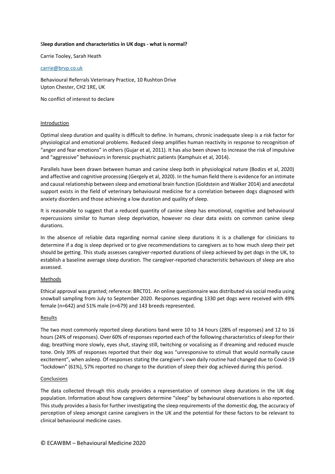# S**leep duration and characteristics in UK dogs - what is normal?**

Carrie Tooley, Sarah Heath

### [carrie@brvp.co.uk](mailto:carrie@brvp.co.uk)

Behavioural Referrals Veterinary Practice, 10 Rushton Drive Upton Chester, CH2 1RE, UK

No conflict of interest to declare

### Introduction

Optimal sleep duration and quality is difficult to define. In humans, chronic inadequate sleep is a risk factor for physiological and emotional problems. Reduced sleep amplifies human reactivity in response to recognition of "anger and fear emotions" in others (Gujar et al, 2011). It has also been shown to increase the risk of impulsive and "aggressive" behaviours in forensic psychiatric patients (Kamphuis et al, 2014).

Parallels have been drawn between human and canine sleep both in physiological nature (Bodizs et al, 2020) and affective and cognitive processing (Gergely et al, 2020). In the human field there is evidence for an intimate and causal relationship between sleep and emotional brain function (Goldstein and Walker 2014) and anecdotal support exists in the field of veterinary behavioural medicine for a correlation between dogs diagnosed with anxiety disorders and those achieving a low duration and quality of sleep.

It is reasonable to suggest that a reduced quantity of canine sleep has emotional, cognitive and behavioural repercussions similar to human sleep deprivation, however no clear data exists on common canine sleep durations.

In the absence of reliable data regarding normal canine sleep durations it is a challenge for clinicians to determine if a dog is sleep deprived or to give recommendations to caregivers as to how much sleep their pet should be getting. This study assesses caregiver-reported durations of sleep achieved by pet dogs in the UK, to establish a baseline average sleep duration. The caregiver-reported characteristic behaviours of sleep are also assessed.

# **Methods**

Ethical approval was granted; reference: BRCT01. An online questionnaire was distributed via social media using snowball sampling from July to September 2020. Responses regarding 1330 pet dogs were received with 49% female (n=642) and 51% male (n=679) and 143 breeds represented.

# Results

The two most commonly reported sleep durations band were 10 to 14 hours (28% of responses) and 12 to 16 hours (24% of responses). Over 60% of responses reported each of the following characteristics of sleep for their dog; breathing more slowly, eyes shut, staying still, twitching or vocalising as if dreaming and reduced muscle tone. Only 39% of responses reported that their dog was "unresponsive to stimuli that would normally cause excitement", when asleep. Of responses stating the caregiver's own daily routine had changed due to Covid-19 "lockdown" (61%), 57% reported no change to the duration of sleep their dog achieved during this period.

# **Conclusions**

The data collected through this study provides a representation of common sleep durations in the UK dog population. Information about how caregivers determine "sleep" by behavioural observations is also reported. This study provides a basis for further investigating the sleep requirements of the domestic dog, the accuracy of perception of sleep amongst canine caregivers in the UK and the potential for these factors to be relevant to clinical behavioural medicine cases.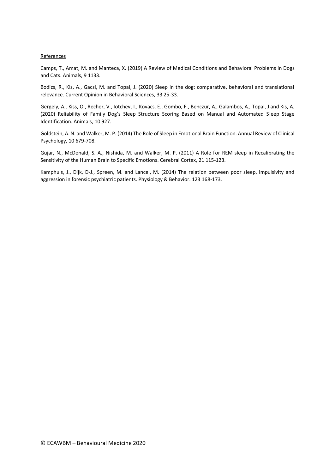### References

Camps, T., Amat, M. and Manteca, X. (2019) A Review of Medical Conditions and Behavioral Problems in Dogs and Cats. Animals, 9 1133.

Bodizs, R., Kis, A., Gacsi, M. and Topal, J. (2020) Sleep in the dog: comparative, behavioral and translational relevance. Current Opinion in Behavioral Sciences, 33 25-33.

Gergely, A., Kiss, O., Recher, V., Iotchev, I., Kovacs, E., Gombo, F., Benczur, A., Galambos, A., Topal, J and Kis, A. (2020) Reliability of Family Dog's Sleep Structure Scoring Based on Manual and Automated Sleep Stage Identification. Animals, 10 927.

Goldstein, A. N. and Walker, M. P. (2014) The Role of Sleep in Emotional Brain Function. Annual Review of Clinical Psychology, 10 679-708.

Gujar, N., McDonald, S. A., Nishida, M. and Walker, M. P. (2011) A Role for REM sleep in Recalibrating the Sensitivity of the Human Brain to Specific Emotions. Cerebral Cortex, 21 115-123.

Kamphuis, J., Dijk, D-J., Spreen, M. and Lancel, M. (2014) The relation between poor sleep, impulsivity and aggression in forensic psychiatric patients. Physiology & Behavior. 123 168-173.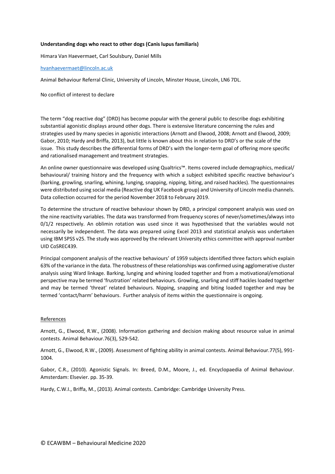# **Understanding dogs who react to other dogs (Canis lupus familiaris)**

Himara Van Haevermaet, Carl Soulsbury, Daniel Mills

### [hvanhaevermaet@lincoln.ac.uk](mailto:hvanhaevermaet@lincoln.ac.uk)

Animal Behaviour Referral Clinic, University of Lincoln, Minster House, Lincoln, LN6 7DL.

No conflict of interest to declare

The term "dog reactive dog" (DRD) has become popular with the general public to describe dogs exhibiting substantial agonistic displays around other dogs. There is extensive literature concerning the rules and strategies used by many species in agonistic interactions (Arnott and Elwood, 2008; Arnott and Elwood, 2009; Gabor, 2010; Hardy and Briffa, 2013), but little is known about this in relation to DRD's or the scale of the issue. This study describes the differential forms of DRD's with the longer-term goal of offering more specific and rationalised management and treatment strategies.

An online owner questionnaire was developed using Qualtrics™. Items covered include demographics, medical/ behavioural/ training history and the frequency with which a subject exhibited specific reactive behaviour's (barking, growling, snarling, whining, lunging, snapping, nipping, biting, and raised hackles). The questionnaires were distributed using social media (Reactive dog UK Facebook group) and University of Lincoln media channels. Data collection occurred for the period November 2018 to February 2019.

To determine the structure of reactive behaviour shown by DRD, a principal component analysis was used on the nine reactivity variables. The data was transformed from frequency scores of never/sometimes/always into 0/1/2 respectively. An oblimin rotation was used since it was hypothesised that the variables would not necessarily be independent. The data was prepared using Excel 2013 and statistical analysis was undertaken using IBM SPSS v25. The study was approved by the relevant University ethics committee with approval number UID CoSREC439.

Principal component analysis of the reactive behaviours' of 1959 subjects identified three factors which explain 63% of the variance in the data. The robustness of these relationships was confirmed using agglomerative cluster analysis using Ward linkage. Barking, lunging and whining loaded together and from a motivational/emotional perspective may be termed 'frustration' related behaviours. Growling, snarling and stiff hackles loaded together and may be termed 'threat' related behaviours. Nipping, snapping and biting loaded together and may be termed 'contact/harm' behaviours. Further analysis of items within the questionnaire is ongoing.

#### References

Arnott, G., Elwood, R.W., (2008). Information gathering and decision making about resource value in animal contests. Animal Behaviour.76(3), 529-542.

Arnott, G., Elwood, R.W., (2009). Assessment of fighting ability in animal contests. Animal Behaviour.77(5), 991- 1004.

Gabor, C.R., (2010). Agonistic Signals. In: Breed, D.M., Moore, J., ed. Encyclopaedia of Animal Behaviour. Amsterdam: Elsevier. pp. 35-39.

Hardy, C.W.I., Briffa, M., (2013). Animal contests. Cambridge: Cambridge University Press.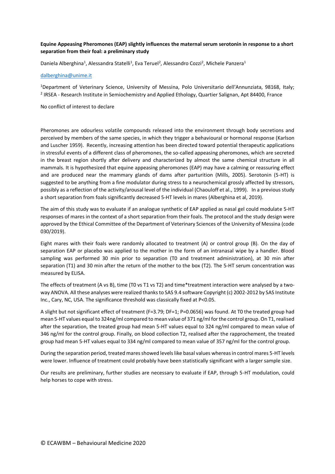# **Equine Appeasing Pheromones (EAP) slightly influences the maternal serum serotonin in response to a short separation from their foal: a preliminary study**

Daniela Alberghina<sup>1</sup>, Alessandra Statelli<sup>1</sup>, Eva Teruel<sup>2</sup>, Alessandro Cozzi<sup>2</sup>, Michele Panzera<sup>1</sup>

# [dalberghina@unime.it](mailto:dalberghina@unime.it)

<sup>1</sup>Department of Veterinary Science, University of Messina, Polo Universitario dell'Annunziata, 98168, Italy; <sup>2</sup> IRSEA - Research Institute in Semiochemistry and Applied Ethology, Quartier Salignan, Apt 84400, France

No conflict of interest to declare

Pheromones are odourless volatile compounds released into the environment through body secretions and perceived by members of the same species, in which they trigger a behavioural or hormonal response (Karlson and Luscher 1959). Recently, increasing attention has been directed toward potential therapeutic applications in stressful events of a different class of pheromones, the so-called appeasing pheromones, which are secreted in the breast region shortly after delivery and characterized by almost the same chemical structure in all mammals. It is hypothesized that equine appeasing pheromones (EAP) may have a calming or reassuring effect and are produced near the mammary glands of dams after parturition (Mills, 2005). Serotonin (5-HT) is suggested to be anything from a fine modulator during stress to a neurochemical grossly affected by stressors, possibly as a reflection of the activity/arousal level of the individual (Chaouloff et al., 1999). In a previous study a short separation from foals significantly decreased 5-HT levels in mares (Alberghina et al, 2019).

The aim of this study was to evaluate if an analogue synthetic of EAP applied as nasal gel could modulate 5-HT responses of mares in the context of a short separation from their foals. The protocol and the study design were approved by the Ethical Committee of the Department of Veterinary Sciences of the University of Messina (code 030/2019).

Eight mares with their foals were randomly allocated to treatment (A) or control group (B). On the day of separation EAP or placebo was applied to the mother in the form of an intranasal wipe by a handler. Blood sampling was performed 30 min prior to separation (T0 and treatment administration), at 30 min after separation (T1) and 30 min after the return of the mother to the box (T2). The 5-HT serum concentration was measured by ELISA.

The effects of treatment (A vs B), time (T0 vs T1 vs T2) and time\*treatment interaction were analysed by a twoway ANOVA. All these analyses were realized thanks to SAS 9.4 software Copyright (c) 2002-2012 by SAS Institute Inc., Cary, NC, USA. The significance threshold was classically fixed at P<0.05.

A slight but not significant effect of treatment (F=3.79; DF=1; P=0.0656) was found. At T0 the treated group had mean 5-HT values equal to 324ng/ml compared to mean value of 371 ng/ml for the control group. On T1, realised after the separation, the treated group had mean 5-HT values equal to 324 ng/ml compared to mean value of 346 ng/ml for the control group. Finally, on blood collection T2, realised after the rapprochement, the treated group had mean 5-HT values equal to 334 ng/ml compared to mean value of 357 ng/ml for the control group.

During the separation period, treated mares showed levels like basal values whereas in control mares 5-HT levels were lower. Influence of treatment could probably have been statistically significant with a larger sample size.

Our results are preliminary, further studies are necessary to evaluate if EAP, through 5-HT modulation, could help horses to cope with stress.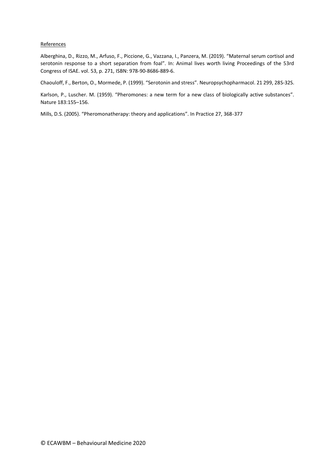### References

Alberghina, D., Rizzo, M., Arfuso, F., Piccione, G., Vazzana, I., Panzera, M. (2019). "Maternal serum cortisol and serotonin response to a short separation from foal". In: Animal lives worth living Proceedings of the 53rd Congress of ISAE. vol. 53, p. 271, ISBN: 978-90-8686-889-6.

Chaouloff, F., Berton, O., Mormede, P. (1999). "Serotonin and stress". Neuropsychopharmacol. 21 299, 28S-32S.

Karlson, P., Luscher. M. (1959). "Pheromones: a new term for a new class of biologically active substances". Nature 183:155–156.

Mills, D.S. (2005). "Pheromonatherapy: theory and applications". In Practice 27, 368-377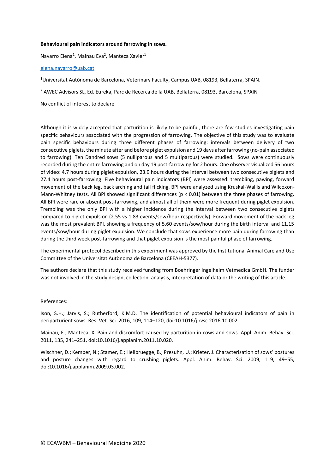### **Behavioural pain indicators around farrowing in sows.**

Navarro Elena<sup>1</sup>, Mainau Eva<sup>2</sup>, Manteca Xavier<sup>1</sup>

### [elena.navarro@uab.cat](mailto:elena.navarro@uab.cat)

<sup>1</sup>Universitat Autònoma de Barcelona, Veterinary Faculty, Campus UAB, 08193, Bellaterra, SPAIN.

<sup>2</sup> AWEC Advisors SL, Ed. Eureka, Parc de Recerca de la UAB, Bellaterra, 08193, Barcelona, SPAIN

No conflict of interest to declare

Although it is widely accepted that parturition is likely to be painful, there are few studies investigating pain specific behaviours associated with the progression of farrowing. The objective of this study was to evaluate pain specific behaviours during three different phases of farrowing: intervals between delivery of two consecutive piglets, the minute after and before piglet expulsion and 19 days after farrowing (no-pain associated to farrowing). Ten Dandred sows (5 nulliparous and 5 multiparous) were studied. Sows were continuously recorded during the entire farrowing and on day 19 post-farrowing for 2 hours. One observer visualized 56 hours of video: 4.7 hours during piglet expulsion, 23.9 hours during the interval between two consecutive piglets and 27.4 hours post-farrowing. Five behavioural pain indicators (BPI) were assessed: trembling, pawing, forward movement of the back leg, back arching and tail flicking. BPI were analyzed using Kruskal-Wallis and Wilcoxon-Mann-Whitney tests. All BPI showed significant differences (p < 0.01) between the three phases of farrowing. All BPI were rare or absent post-farrowing, and almost all of them were more frequent during piglet expulsion. Trembling was the only BPI with a higher incidence during the interval between two consecutive piglets compared to piglet expulsion (2.55 vs 1.83 events/sow/hour respectively). Forward movement of the back leg was the most prevalent BPI, showing a frequency of 5.60 events/sow/hour during the birth interval and 11.15 events/sow/hour during piglet expulsion. We conclude that sows experience more pain during farrowing than during the third week post-farrowing and that piglet expulsion is the most painful phase of farrowing.

The experimental protocol described in this experiment was approved by the Institutional Animal Care and Use Committee of the Universitat Autònoma de Barcelona (CEEAH-5377).

The authors declare that this study received funding from Boehringer Ingelheim Vetmedica GmbH. The funder was not involved in the study design, collection, analysis, interpretation of data or the writing of this article.

#### References:

Ison, S.H.; Jarvis, S.; Rutherford, K.M.D. The identification of potential behavioural indicators of pain in periparturient sows. Res. Vet. Sci. 2016, 109, 114–120, doi:10.1016/j.rvsc.2016.10.002.

Mainau, E.; Manteca, X. Pain and discomfort caused by parturition in cows and sows. Appl. Anim. Behav. Sci. 2011, 135, 241–251, doi:10.1016/j.applanim.2011.10.020.

Wischner, D.; Kemper, N.; Stamer, E.; Hellbruegge, B.; Presuhn, U.; Krieter, J. Characterisation of sows' postures and posture changes with regard to crushing piglets. Appl. Anim. Behav. Sci. 2009, 119, 49–55, doi:10.1016/j.applanim.2009.03.002.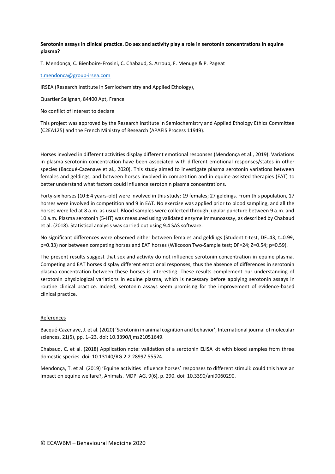**Serotonin assays in clinical practice. Do sex and activity play a role in serotonin concentrations in equine plasma?**

T. Mendonça, C. Bienboire-Frosini, C. Chabaud, S. Arroub, F. Menuge & P. Pageat

#### [t.mendonca@group-irsea.com](mailto:t.mendonca@group-irsea.com)

IRSEA (Research Institute in Semiochemistry and Applied Ethology),

Quartier Salignan, 84400 Apt, France

No conflict of interest to declare

This project was approved by the Research Institute in Semiochemistry and Applied Ethology Ethics Committee (C2EA125) and the French Ministry of Research (APAFIS Process 11949).

Horses involved in different activities display different emotional responses (Mendonça et al., 2019). Variations in plasma serotonin concentration have been associated with different emotional responses/states in other species (Bacqué-Cazenave et al., 2020). This study aimed to investigate plasma serotonin variations between females and geldings, and between horses involved in competition and in equine-assisted therapies (EAT) to better understand what factors could influence serotonin plasma concentrations.

Forty-six horses (10  $\pm$  4 years-old) were involved in this study: 19 females; 27 geldings. From this population, 17 horses were involved in competition and 9 in EAT. No exercise was applied prior to blood sampling, and all the horses were fed at 8 a.m. as usual. Blood samples were collected through jugular puncture between 9 a.m. and 10 a.m. Plasma serotonin (5-HT) was measured using validated enzyme immunoassay, as described by Chabaud et al. (2018). Statistical analysis was carried out using 9.4 SAS software.

No significant differences were observed either between females and geldings (Student t-test; DF=43; t=0.99; p=0.33) nor between competing horses and EAT horses (Wilcoxon Two-Sample test; DF=24; Z=0.54; p=0.59).

The present results suggest that sex and activity do not influence serotonin concentration in equine plasma. Competing and EAT horses display different emotional responses, thus the absence of differences in serotonin plasma concentration between these horses is interesting. These results complement our understanding of serotonin physiological variations in equine plasma, which is necessary before applying serotonin assays in routine clinical practice. Indeed, serotonin assays seem promising for the improvement of evidence-based clinical practice.

#### References

Bacqué-Cazenave, J. et al. (2020) 'Serotonin in animal cognition and behavior', International journal of molecular sciences, 21(5), pp. 1–23. doi: 10.3390/ijms21051649.

Chabaud, C. et al. (2018) Application note: validation of a serotonin ELISA kit with blood samples from three domestic species. doi: 10.13140/RG.2.2.28997.55524.

Mendonça, T. et al. (2019) 'Equine activities influence horses' responses to different stimuli: could this have an impact on equine welfare?, Animals. MDPI AG, 9(6), p. 290. doi: 10.3390/ani9060290.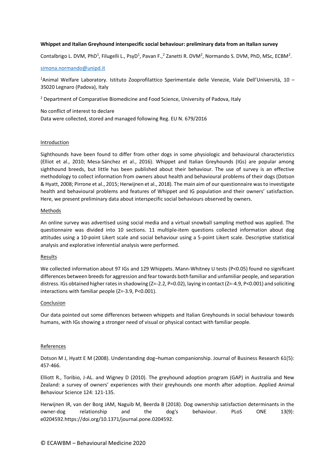# **Whippet and Italian Greyhound interspecific social behaviour: preliminary data from an Italian survey**

Contalbrigo L. DVM, PhD<sup>1</sup>, Filugelli L., PsyD<sup>1</sup>, Pavan F.,<sup>2</sup> Zanetti R. DVM<sup>2</sup>, Normando S. DVM, PhD, MSc, ECBM<sup>2</sup>.

### [simona.normando@unipd.it](mailto:simona.normando@unipd.it)

<sup>1</sup>Animal Welfare Laboratory. Istituto Zooprofilattico Sperimentale delle Venezie, Viale Dell'Università, 10 – 35020 Legnaro (Padova), Italy

<sup>2</sup> Department of Comparative Biomedicine and Food Science, University of Padova, Italy

No conflict of interest to declare Data were collected, stored and managed following Reg. EU N. 679/2016

#### Introduction

Sighthounds have been found to differ from other dogs in some physiologic and behavioural characteristics (Elliot et al., 2010; Mesa-Sánchez et al., 2016). Whippet and Italian Greyhounds (IGs) are popular among sighthound breeds, but little has been published about their behaviour. The use of survey is an effective methodology to collect information from owners about health and behavioural problems of their dogs (Dotson & Hyatt, 2008; Pirrone et al., 2015; Herwijnen et al., 2018). The main aim of our questionnaire was to investigate health and behavioural problems and features of Whippet and IG population and their owners' satisfaction. Here, we present preliminary data about interspecific social behaviours observed by owners.

#### Methods

An online survey was advertised using social media and a virtual snowball sampling method was applied. The questionnaire was divided into 10 sections. 11 multiple-item questions collected information about dog attitudes using a 10-point Likert scale and social behaviour using a 5-point Likert scale. Descriptive statistical analysis and explorative inferential analysis were performed.

#### Results

We collected information about 97 IGs and 129 Whippets. Mann-Whitney U tests (P<0.05) found no significant differences between breeds for aggression and fear towards both familiar and unfamiliar people, and separation distress. IGs obtained higher rates in shadowing (Z=-2.2, P=0.02), laying in contact (Z=-4.9, P<0.001) and soliciting interactions with familiar people (Z=-3.9, P<0.001).

#### Conclusion

Our data pointed out some differences between whippets and Italian Greyhounds in social behaviour towards humans, with IGs showing a stronger need of visual or physical contact with familiar people.

#### **References**

Dotson M J, Hyatt E M (2008). Understanding dog–human companionship. Journal of Business Research 61(5): 457-466.

Elliott R., Toribio, J-AL. and Wigney D (2010). The greyhound adoption program (GAP) in Australia and New Zealand: a survey of owners' experiences with their greyhounds one month after adoption. Applied Animal Behaviour Science 124: 121-135.

Herwijnen IR, van der Borg JAM, Naguib M, Beerda B (2018). Dog ownership satisfaction determinants in the owner-dog relationship and the dog's behaviour. PLoS ONE 13(9): e0204592.https://doi.org/10.1371/journal.pone.0204592.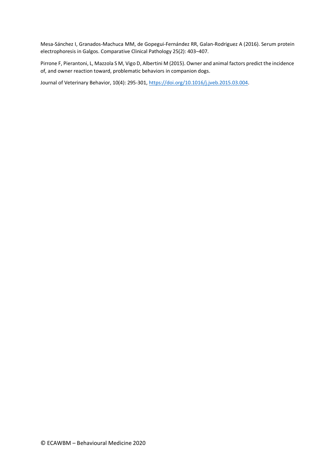Mesa-Sánchez I, Granados-Machuca MM, de Gopegui-Fernández RR, Galan-Rodriguez A (2016). Serum protein electrophoresis in Galgos. Comparative Clinical Pathology 25(2): 403-407.

Pirrone F, Pierantoni, L, Mazzola S M, Vigo D, Albertini M (2015). Owner and animal factors predict the incidence of, and owner reaction toward, problematic behaviors in companion dogs.

Journal of Veterinary Behavior, 10(4): 295-301[, https://doi.org/10.1016/j.jveb.2015.03.004.](https://doi.org/10.1016/j.jveb.2015.03.004)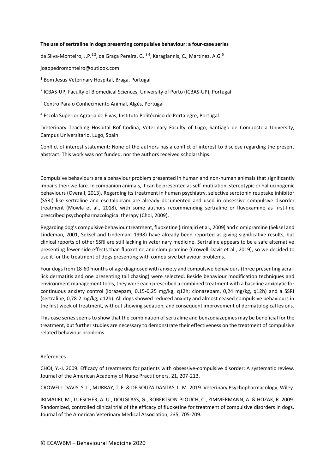### **The use of sertraline in dogs presenting compulsive behaviour: a four-case series**

da Silva-Monteiro, J.P.<sup>1,2</sup>, da Graça Pereira, G.<sup>3,4</sup>, Karagiannis, C., Martínez, A.G.<sup>5</sup>

joaopedromonteiro@outlook.com

<sup>1</sup> Bom Jesus Veterinary Hospital, Braga, Portugal

2 ICBAS-UP, Faculty of Biomedical Sciences, University of Porto (ICBAS-UP), Portugal

<sup>3</sup> Centro Para o Conhecimento Animal, Algés, Portugal

<sup>4</sup> Escola Superior Agraria de Elvas, Instituto Politécnico de Portalegre, Portugal

<sup>5</sup>Veterinary Teaching Hospital Rof Codina, Veterinary Faculty of Lugo, Santiago de Compostela University, Campus Universitario, Lugo, Spain

Conflict of interest statement: None of the authors has a conflict of interest to disclose regarding the present abstract. This work was not funded, nor the authors received scholarships.

Compulsive behaviours are a behaviour problem presented in human and non-human animals that significantly impairs their welfare. In companion animals, it can be presented as self-mutilation, stereotypic or hallucinogenic behaviours (Overall, 2013). Regarding its treatment in human psychiatry, selective serotonin reuptake inhibitor (SSRI) like sertraline and escitalopram are already documented and used in obsessive-compulsive disorder treatment (Mowla et al., 2018), with some authors recommending sertraline or fluvoxamine as first-line prescribed psychopharmacological therapy (Choi, 2009).

Regarding dog's compulsive behaviour treatment, fluoxetine (Irimajiri et al., 2009) and clomipramine (Seksel and Lindeman, 2001, Seksel and Lindeman, 1998) have already been reported as giving significative results, but clinical reports of other SSRI are still lacking in veterinary medicine. Sertraline appears to be a safe alternative presenting fewer side effects than fluoxetine and clomipramine (Crowell-Davis et al., 2019), so we decided to use it for the treatment of dogs presenting with compulsive behaviour problems.

Four dogs from 18-60 months of age diagnosed with anxiety and compulsive behaviours (three presenting acrallick dermatitis and one presenting tail chasing) were selected. Beside behaviour modification techniques and environment management tools, they were each prescribed a combined treatment with a baseline anxiolytic for continuous anxiety control (lorazepam, 0,15-0,25 mg/kg, q12h; clonazepam, 0,24 mg/kg, q12h) and a SSRI (sertraline, 0,78-2 mg/kg, q12h). All dogs showed reduced anxiety and almost ceased compulsive behaviours in the first week of treatment, without showing sedation, and consequent improvement of dermatological lesions.

This case series seems to show that the combination of sertraline and benzodiazepines may be beneficial for the treatment, but further studies are necessary to demonstrate their effectiveness on the treatment of compulsive related behaviour problems.

#### References

CHOI, Y.-J. 2009. Efficacy of treatments for patients with obsessive-compulsive disorder: A systematic review. Journal of the American Academy of Nurse Practitioners, 21, 207-213.

CROWELL-DAVIS, S. L., MURRAY, T. F. & DE SOUZA DANTAS, L. M. 2019. Veterinary Psychopharmacology, Wiley.

IRIMAJIRI, M., LUESCHER, A. U., DOUGLASS, G., ROBERTSON-PLOUCH, C., ZIMMERMANN, A. & HOZAK, R. 2009. Randomized, controlled clinical trial of the efficacy of fluoxetine for treatment of compulsive disorders in dogs. Journal of the American Veterinary Medical Association, 235, 705-709.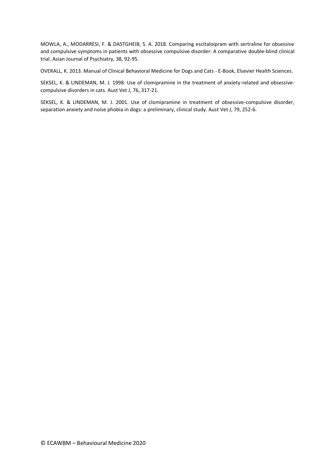MOWLA, A., MODARRESI, F. & DASTGHEIB, S. A. 2018. Comparing escitaloipram with sertraline for obsessive and compulsive symptoms in patients with obsessive compulsive disorder: A comparative double-blind clinical trial. Asian Journal of Psychiatry, 38, 92-95.

OVERALL, K. 2013. Manual of Clinical Behavioral Medicine for Dogs and Cats - E-Book, Elsevier Health Sciences.

SEKSEL, K. & LINDEMAN, M. J. 1998. Use of clomipramine in the treatment of anxiety-related and obsessivecompulsive disorders in cats. Aust Vet J, 76, 317-21.

SEKSEL, K. & LINDEMAN, M. J. 2001. Use of clomipramine in treatment of obsessive-compulsive disorder, separation anxiety and noise phobia in dogs: a preliminary, clinical study. Aust Vet J, 79, 252-6.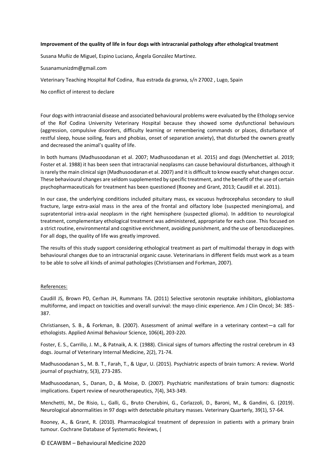### **Improvement of the quality of life in four dogs with intracranial pathology after ethological treatment**

Susana Muñiz de Miguel, Espino Luciano, Ángela González Martínez.

Susanamunizdm@gmail.com

Veterinary Teaching Hospital Rof Codina, Rua estrada da granxa, s/n 27002 , Lugo, Spain

No conflict of interest to declare

Four dogs with intracranial disease and associated behavioural problems were evaluated by the Ethology service of the Rof Codina University Veterinary Hospital because they showed some dysfunctional behaviours (aggression, compulsive disorders, difficulty learning or remembering commands or places, disturbance of restful sleep, house soiling, fears and phobias, onset of separation anxiety), that disturbed the owners greatly and decreased the animal's quality of life.

In both humans (Madhusoodanan et al. 2007; Madhusoodanan et al. 2015) and dogs (Menchettiet al. 2019; Foster et al. 1988) it has been seen that intracranial neoplasms can cause behavioural disturbances, although it is rarely the main clinical sign (Madhusoodanan et al. 2007) and it is difficult to know exactly what changes occur. These behavioural changes are seldom supplemented by specific treatment, and the benefit of the use of certain psychopharmaceuticals for treatment has been questioned (Rooney and Grant, 2013; Caudill et al. 2011).

In our case, the underlying conditions included pituitary mass, ex vacuous hydrocephalus secondary to skull fracture, large extra-axial mass in the area of the frontal and olfactory lobe (suspected meningioma), and supratentorial intra-axial neoplasm in the right hemisphere (suspected glioma). In addition to neurological treatment, complementary ethological treatment was administered, appropriate for each case. This focused on a strict routine, environmental and cognitive enrichment, avoiding punishment, and the use of benzodiazepines. For all dogs, the quality of life was greatly improved.

The results of this study support considering ethological treatment as part of multimodal therapy in dogs with behavioural changes due to an intracranial organic cause. Veterinarians in different fields must work as a team to be able to solve all kinds of animal pathologies (Christiansen and Forkman, 2007).

#### References:

Caudill JS, Brown PD, Cerhan JH, Rummans TA. (2011) Selective serotonin reuptake inhibitors, glioblastoma multiforme, and impact on toxicities and overall survival: the mayo clinic experience. Am J Clin Oncol; 34: 385- 387.

Christiansen, S. B., & Forkman, B. (2007). Assessment of animal welfare in a veterinary context—a call for ethologists. Applied Animal Behaviour Science, 106(4), 203-220.

Foster, E. S., Carrillo, J. M., & Patnaik, A. K. (1988). Clinical signs of tumors affecting the rostral cerebrum in 43 dogs. Journal of Veterinary Internal Medicine, 2(2), 71-74.

Madhusoodanan S., M. B. T., Farah, T., & Ugur, U. (2015). Psychiatric aspects of brain tumors: A review. World journal of psychiatry, 5(3), 273-285.

Madhusoodanan, S., Danan, D., & Moise, D. (2007). Psychiatric manifestations of brain tumors: diagnostic implications. Expert review of neurotherapeutics, 7(4), 343-349.

Menchetti, M., De Risio, L., Galli, G., Bruto Cherubini, G., Corlazzoli, D., Baroni, M., & Gandini, G. (2019). Neurological abnormalities in 97 dogs with detectable pituitary masses. Veterinary Quarterly, 39(1), 57-64.

Rooney, A., & Grant, R. (2010). Pharmacological treatment of depression in patients with a primary brain tumour. Cochrane Database of Systematic Reviews, (

© ECAWBM – Behavioural Medicine 2020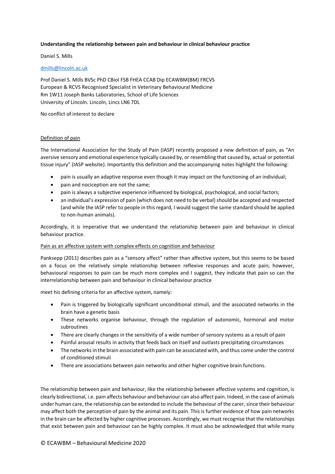# **Understanding the relationship between pain and behaviour in clinical behaviour practice**

# Daniel S. Mills

# [dmills@lincoln.ac.uk](mailto:dmills@lincoln.ac.uk)

Prof Daniel S. Mills BVSc PhD CBiol FSB FHEA CCAB Dip ECAWBM(BM) FRCVS European & RCVS Recognised Specialist in Veterinary Behavioural Medicine Rm 1W11 Joseph Banks Laboratories, School of Life Sciences University of Lincoln. Lincoln, Lincs LN6 7DL

No conflict of interest to declare

### Definition of pain

The International Association for the Study of Pain (IASP) recently proposed a new definition of pain, as "An aversive sensory and emotional experience typically caused by, or resembling that caused by, actual or potential tissue injury" (IASP website). Importantly this definition and the accompanying notes highlight the following:

- pain is usually an adaptive response even though it may impact on the functioning of an individual;
- pain and nociception are not the same;
- pain is always a subjective experience influenced by biological, psychological, and social factors;
- an individual's expression of pain (which does not need to be verbal) should be accepted and respected (and while the IASP refer to people in this regard, I would suggest the same standard should be applied to non-human animals).

Accordingly, it is imperative that we understand the relationship between pain and behaviour in clinical behaviour practice.

# Pain as an affective system with complex effects on cognition and behaviour

Panksepp (2011) describes pain as a "sensory affect" rather than affective system, but this seems to be based on a focus on the relatively simple relationship between reflexive responses and acute pain; however, behavioural responses to pain can be much more complex and I suggest, they indicate that pain so can the interrelationship between pain and behaviour in clinical behaviour practice

meet his defining criteria for an affective system, namely:

- Pain is triggered by biologically significant unconditional stimuli, and the associated networks in the brain have a genetic basis
- These networks organise behaviour, through the regulation of autonomic, hormonal and motor subroutines
- There are clearly changes in the sensitivity of a wide number of sensory systems as a result of pain
- Painful arousal results in activity that feeds back on itself and outlasts precipitating circumstances
- The networks in the brain associated with pain can be associated with, and thus come under the control of conditioned stimuli
- There are associations between pain networks and other higher cognitive brain functions.

The relationship between pain and behaviour, like the relationship between affective systems and cognition, is clearly bidirectional, i.e. pain affects behaviour and behaviour can also affect pain. Indeed, in the case of animals under human care, the relationship can be extended to include the behaviour of the carer, since their behaviour may affect both the perception of pain by the animal and its pain. This is further evidence of how pain networks in the brain can be affected by higher cognitive processes. Accordingly, we must recognise that the relationships that exist between pain and behaviour can be highly complex. It must also be acknowledged that while many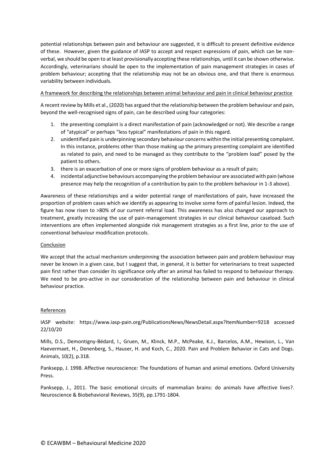potential relationships between pain and behaviour are suggested, it is difficult to present definitive evidence of these. However, given the guidance of IASP to accept and respect expressions of pain, which can be nonverbal, we should be open to at least provisionally accepting these relationships, until it can be shown otherwise. Accordingly, veterinarians should be open to the implementation of pain management strategies in cases of problem behaviour; accepting that the relationship may not be an obvious one, and that there is enormous variability between individuals.

# A framework for describing the relationships between animal behaviour and pain in clinical behaviour practice

A recent review by Mills et al., (2020) has argued that the relationship between the problem behaviour and pain, beyond the well-recognised signs of pain, can be described using four categories:

- 1. the presenting complaint is a direct manifestation of pain (acknowledged or not). We describe a range of "atypical" or perhaps "less typical" manifestations of pain in this regard.
- 2. unidentified pain is underpinning secondary behaviour concerns within the initial presenting complaint. In this instance, problems other than those making up the primary presenting complaint are identified as related to pain, and need to be managed as they contribute to the "problem load" posed by the patient to others.
- 3. there is an exacerbation of one or more signs of problem behaviour as a result of pain;
- 4. incidental adjunctive behaviours accompanying the problem behaviour are associated with pain (whose presence may help the recognition of a contribution by pain to the problem behaviour in 1-3 above).

Awareness of these relationships and a wider potential range of manifestations of pain, have increased the proportion of problem cases which we identify as appearing to involve some form of painful lesion. Indeed, the figure has now risen to >80% of our current referral load. This awareness has also changed our approach to treatment, greatly increasing the use of pain-management strategies in our clinical behaviour caseload. Such interventions are often implemented alongside risk management strategies as a first line, prior to the use of conventional behaviour modification protocols.

# Conclusion

We accept that the actual mechanism underpinning the association between pain and problem behaviour may never be known in a given case, but I suggest that, in general, it is better for veterinarians to treat suspected pain first rather than consider its significance only after an animal has failed to respond to behaviour therapy. We need to be pro-active in our consideration of the relationship between pain and behaviour in clinical behaviour practice.

# References

IASP website: https://www.iasp-pain.org/PublicationsNews/NewsDetail.aspx?ItemNumber=9218 accessed 22/10/20

Mills, D.S., Demontigny-Bédard, I., Gruen, M., Klinck, M.P., McPeake, K.J., Barcelos, A.M., Hewison, L., Van Haevermaet, H., Denenberg, S., Hauser, H. and Koch, C., 2020. Pain and Problem Behavior in Cats and Dogs. Animals, 10(2), p.318.

Panksepp, J. 1998. Affective neuroscience: The foundations of human and animal emotions. Oxford University Press.

Panksepp, J., 2011. The basic emotional circuits of mammalian brains: do animals have affective lives?. Neuroscience & Biobehavioral Reviews, 35(9), pp.1791-1804.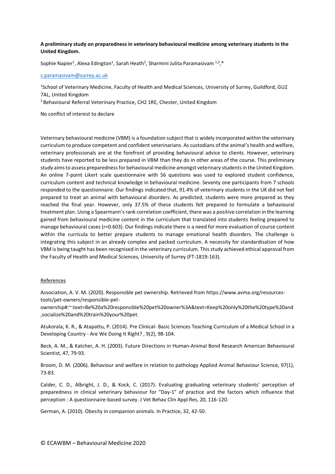# **A preliminary study on preparedness in veterinary behavioural medicine among veterinary students in the United Kingdom.**

Sophie Napier<sup>1</sup>, Alexa Edington<sup>1</sup>, Sarah Heath<sup>2</sup>, Sharmini Julita Paramasivam  $1,2,*$ 

#### [s.paramasivam@surrey.ac.uk](mailto:s.paramasivam@surrey.ac.uk)

1 School of Veterinary Medicine, Faculty of Health and Medical Sciences, University of Surrey, Guildford, GU2 7AL, United Kingdom

<sup>2</sup> Behavioural Referral Veterinary Practice, CH2 1RE, Chester, United Kingdom

No conflict of interest to declare

Veterinary behavioural medicine (VBM) is a foundation subject that is widely incorporated within the veterinary curriculum to produce competent and confident veterinarians. As custodians of the animal's health and welfare, veterinary professionals are at the forefront of providing behavioural advice to clients. However, veterinary students have reported to be less prepared in VBM than they do in other areas of the course. This preliminary study aims to assess preparedness for behavioural medicine amongst veterinary students in the United Kingdom. An online 7-point Likert scale questionnaire with 56 questions was used to explored student confidence, curriculum content and technical knowledge in behavioural medicine. Seventy one participants from 7 schools responded to the questionnaire. Our findings indicated that, 91.4% of veterinary students in the UK did not feel prepared to treat an animal with behavioural disorders. As predicted, students were more prepared as they reached the final year. However, only 37.5% of these students felt prepared to formulate a behavioural treatment plan. Using a Spearmann's rank correlation coefficient, there was a positive correlation in the learning gained from behavioural medicine content in the curriculum that translated into students feeling prepared to manage behavioural cases (r=0.603). Our findings indicate there is a need for more evaluation of course content within the curricula to better prepare students to manage emotional health disorders. The challenge is integrating this subject in an already complex and packed curriculum. A necessity for standardisation of how VBM is being taught has been recognised in the veterinary curriculum. This study achieved ethical approval from the Faculty of Health and Medical Sciences, University of Surrey (FT-1819-163).

#### References

Association, A. V. M. (2020). Responsible pet ownership. Retrieved from https://www.avma.org/resourcestools/pet-owners/responsible-pet-

ownership#:~:text=Be%20a%20responsible%20pet%20owner%3A&text=Keep%20only%20the%20type%20and ,socialize%20and%20train%20your%20pet.

Atukorala, K. R., & Atapattu, P. (2014). Pre Clinical- Basic Sciences Teaching Curriculum of a Medical School in a Developing Country - Are We Doing It Right? , 9(2), 98-104.

Beck, A. M., & Katcher, A. H. (2003). Future Directions in Human-Animal Bond Research American Behavioural Scientist, 47, 79-93.

Broom, D. M. (2006). Behaviour and welfare in relation to pathology Applied Animal Behaviour Science, 97(1), 73-83.

Calder, C. D., Albright, J. D., & Kock, C. (2017). Evaluating graduating veterinary students' perception of preparedness in clinical veterinary behaviour for "Day-1" of practice and the factors which influence that perception : A questionnaire-based survey. J Vet Behav Clin Appl Res, 20, 116-120.

German, A. (2010). Obesity in companion animals. In Practice, 32, 42-50.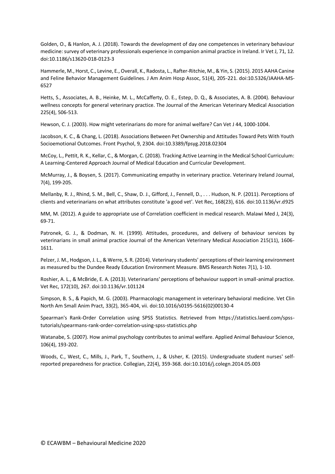Golden, O., & Hanlon, A. J. (2018). Towards the development of day one competences in veterinary behaviour medicine: survey of veterinary professionals experience in companion animal practice in Ireland. Ir Vet J, 71, 12. doi:10.1186/s13620-018-0123-3

Hammerle, M., Horst, C., Levine, E., Overall, K., Radosta, L., Rafter-Ritchie, M., & Yin, S. (2015). 2015 AAHA Canine and Feline Behavior Management Guidelines. J Am Anim Hosp Assoc, 51(4), 205-221. doi:10.5326/JAAHA-MS-6527

Hetts, S., Associates, A. B., Heinke, M. L., McCafferty, O. E., Estep, D. Q., & Associates, A. B. (2004). Behaviour wellness concepts for general veterinary practice. The Journal of the American Veterinary Medical Association 225(4), 506-513.

Hewson, C. J. (2003). How might veterinarians do more for animal welfare? Can Vet J 44, 1000-1004.

Jacobson, K. C., & Chang, L. (2018). Associations Between Pet Ownership and Attitudes Toward Pets With Youth Socioemotional Outcomes. Front Psychol, 9, 2304. doi:10.3389/fpsyg.2018.02304

McCoy, L., Pettit, R. K., Kellar, C., & Morgan, C. (2018). Tracking Active Learning in the Medical School Curriculum: A Learning-Centered Approach Journal of Medical Education and Curricular Development.

McMurray, J., & Boysen, S. (2017). Communicating empathy in veterinary practice. Veterinary Ireland Journal, 7(4), 199-205.

Mellanby, R. J., Rhind, S. M., Bell, C., Shaw, D. J., Gifford, J., Fennell, D., . . . Hudson, N. P. (2011). Perceptions of clients and veterinarians on what attributes constitute 'a good vet'. Vet Rec, 168(23), 616. doi:10.1136/vr.d925

MM, M. (2012). A guide to appropriate use of Correlation coefficient in medical research. Malawi Med J, 24(3), 69-71.

Patronek, G. J., & Dodman, N. H. (1999). Attitudes, procedures, and delivery of behaviour services by veterinarians in small animal practice Journal of the American Veterinary Medical Association 215(11), 1606- 1611.

Pelzer, J. M., Hodgson, J. L., & Werre, S. R. (2014). Veterinary students' perceptions of their learning environment as measured bu the Dundee Ready Education Environment Measure. BMS Research Notes 7(1), 1-10.

Roshier, A. L., & McBride, E. A. (2013). Veterinarians' perceptions of behaviour support in small-animal practice. Vet Rec, 172(10), 267. doi:10.1136/vr.101124

Simpson, B. S., & Papich, M. G. (2003). Pharmacologic management in veterinary behavioral medicine. Vet Clin North Am Small Anim Pract, 33(2), 365-404, vii. doi:10.1016/s0195-5616(02)00130-4

Spearman's Rank-Order Correlation using SPSS Statistics. Retrieved from https://statistics.laerd.com/spsstutorials/spearmans-rank-order-correlation-using-spss-statistics.php

Watanabe, S. (2007). How animal psychology contributes to animal welfare. Applied Animal Behaviour Science, 106(4), 193-202.

Woods, C., West, C., Mills, J., Park, T., Southern, J., & Usher, K. (2015). Undergraduate student nurses' selfreported preparedness for practice. Collegian, 22(4), 359-368. doi:10.1016/j.colegn.2014.05.003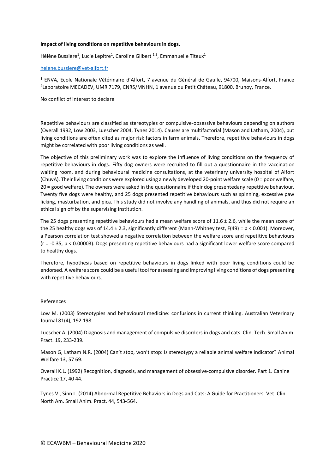### **Impact of living conditions on repetitive behaviours in dogs.**

Hélène Bussière<sup>1</sup>, Lucie Lepitre<sup>1</sup>, Caroline Gilbert <sup>1,2</sup>, Emmanuelle Titeux<sup>1</sup>

### [helene.bussiere@vet-alfort.fr](mailto:helene.bussiere@vet-alfort.fr)

<sup>1</sup> ENVA, Ecole Nationale Vétérinaire d'Alfort, 7 avenue du Général de Gaulle, 94700, Maisons-Alfort, France 2 Laboratoire MECADEV, UMR 7179, CNRS/MNHN, 1 avenue du Petit Château, 91800, Brunoy, France.

No conflict of interest to declare

Repetitive behaviours are classified as stereotypies or compulsive-obsessive behaviours depending on authors (Overall 1992, Low 2003, Luescher 2004, Tynes 2014). Causes are multifactorial (Mason and Latham, 2004), but living conditions are often cited as major risk factors in farm animals. Therefore, repetitive behaviours in dogs might be correlated with poor living conditions as well.

The objective of this preliminary work was to explore the influence of living conditions on the frequency of repetitive behaviours in dogs. Fifty dog owners were recruited to fill out a questionnaire in the vaccination waiting room, and during behavioural medicine consultations, at the veterinary university hospital of Alfort (ChuvA). Their living conditions were explored using a newly developed 20-point welfare scale (0 = poor welfare, 20 = good welfare). The owners were asked in the questionnaire if their dog presentedany repetitive behaviour. Twenty five dogs were healthy, and 25 dogs presented repetitive behaviours such as spinning, excessive paw licking, masturbation, and pica. This study did not involve any handling of animals, and thus did not require an ethical sign off by the supervising institution.

The 25 dogs presenting repetitive behaviours had a mean welfare score of 11.6  $\pm$  2.6, while the mean score of the 25 healthy dogs was of 14.4 ± 2.3, significantly different (Mann-Whitney test, F(49) = p < 0.001). Moreover, a Pearson correlation test showed a negative correlation between the welfare score and repetitive behaviours (r = -0.35, p < 0.00003). Dogs presenting repetitive behaviours had a significant lower welfare score compared to healthy dogs.

Therefore, hypothesis based on repetitive behaviours in dogs linked with poor living conditions could be endorsed. A welfare score could be a useful tool for assessing and improving living conditions of dogs presenting with repetitive behaviours.

#### References

Low M. (2003) Stereotypies and behavioural medicine: confusions in current thinking. Australian Veterinary Journal 81(4), 192 198.

Luescher A. (2004) Diagnosis and management of compulsive disorders in dogs and cats. Clin. Tech. Small Anim. Pract. 19, 233-239.

Mason G, Latham N.R. (2004) Can't stop, won't stop: Is stereotypy a reliable animal welfare indicator? Animal Welfare 13, 57 69.

Overall K.L. (1992) Recognition, diagnosis, and management of obsessive-compulsive disorder. Part 1. Canine Practice 17, 40 44.

Tynes V., Sinn L. (2014) Abnormal Repetitive Behaviors in Dogs and Cats: A Guide for Practitioners. Vet. Clin. North Am. Small Anim. Pract. 44, 543‑564.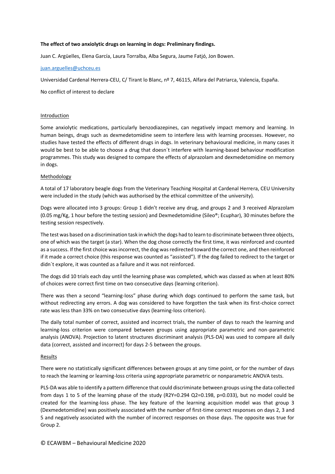# **The effect of two anxiolytic drugs on learning in dogs: Preliminary findings.**

Juan C. Argüelles, Elena García, Laura Torralba, Alba Segura, Jaume Fatjó, Jon Bowen.

### [juan.arguelles@uchceu.es](mailto:juan.arguelles@uchceu.es)

Universidad Cardenal Herrera-CEU, C/ Tirant lo Blanc, nº 7, 46115, Alfara del Patriarca, Valencia, España.

No conflict of interest to declare

### Introduction

Some anxiolytic medications, particularly benzodiazepines, can negatively impact memory and learning. In human beings, drugs such as dexmedetomidine seem to interfere less with learning processes. However, no studies have tested the effects of different drugs in dogs. In veterinary behavioural medicine, in many cases it would be best to be able to choose a drug that doesn´t interfere with learning-based behaviour modification programmes. This study was designed to compare the effects of alprazolam and dexmedetomidine on memory in dogs.

### Methodology

A total of 17 laboratory beagle dogs from the Veterinary Teaching Hospital at Cardenal Herrera, CEU University were included in the study (which was authorised by the ethical committee of the university).

Dogs were allocated into 3 groups: Group 1 didn't receive any drug, and groups 2 and 3 received Alprazolam (0.05 mg/Kg, 1 hour before the testing session) and Dexmedetomidine (Sileo®; Ecuphar), 30 minutes before the testing session respectively.

The test was based on a discrimination task in which the dogs had to learn to discriminate between three objects, one of which was the target (a star). When the dog chose correctly the first time, it was reinforced and counted as a success. If the first choice was incorrect, the dog was redirected toward the correct one, and then reinforced if it made a correct choice (this response was counted as "assisted"). If the dog failed to redirect to the target or didn´t explore, it was counted as a failure and it was not reinforced.

The dogs did 10 trials each day until the learning phase was completed, which was classed as when at least 80% of choices were correct first time on two consecutive days (learning criterion).

There was then a second "learning-loss" phase during which dogs continued to perform the same task, but without redirecting any errors. A dog was considered to have forgotten the task when its first-choice correct rate was less than 33% on two consecutive days (learning-loss criterion).

The daily total number of correct, assisted and incorrect trials, the number of days to reach the learning and learning-loss criterion were compared between groups using appropriate parametric and non-parametric analysis (ANOVA). Projection to latent structures discriminant analysis (PLS-DA) was used to compare all daily data (correct, assisted and incorrect) for days 2-5 between the groups.

#### Results

There were no statistically significant differences between groups at any time point, or for the number of days to reach the learning or learning-loss criteria using appropriate parametric or nonparametric ANOVA tests.

PLS-DA was able to identify a pattern difference that could discriminate between groups using the data collected from days 1 to 5 of the learning phase of the study (R2Y=0.294 Q2=0.198, p=0.033), but no model could be created for the learning-loss phase. The key feature of the learning acquisition model was that group 3 (Dexmedetomidine) was positively associated with the number of first-time correct responses on days 2, 3 and 5 and negatively associated with the number of incorrect responses on those days. The opposite was true for Group 2.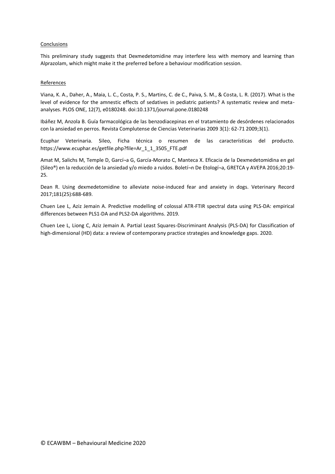# Conclusions

This preliminary study suggests that Dexmedetomidine may interfere less with memory and learning than Alprazolam, which might make it the preferred before a behaviour modification session.

# References

Viana, K. A., Daher, A., Maia, L. C., Costa, P. S., Martins, C. de C., Paiva, S. M., & Costa, L. R. (2017). What is the level of evidence for the amnestic effects of sedatives in pediatric patients? A systematic review and metaanalyses. PLOS ONE, 12(7), e0180248. doi:10.1371/journal.pone.0180248

Ibáñez M, Anzola B. Guía farmacológica de las benzodiacepinas en el tratamiento de desórdenes relacionados con la ansiedad en perros. Revista Complutense de Ciencias Veterinarias 2009 3(1): 62-71 2009;3(1).

Ecuphar Veterinaria. Sileo, Ficha técnica o resumen de las características del producto. https://www.ecuphar.es/getfile.php?file=Ar\_1\_1\_3505\_FTE.pdf

Amat M, Salichs M, Temple D, Garcí¬a G, García-Morato C, Manteca X. Eficacia de la Dexmedetomidina en gel (Sileo®) en la reducción de la ansiedad y/o miedo a ruidos. Boletí¬n De Etologí¬a, GRETCA y AVEPA 2016;20:19- 25.

Dean R. Using dexmedetomidine to alleviate noise-induced fear and anxiety in dogs. Veterinary Record 2017;181(25):688-689.

Chuen Lee L, Aziz Jemain A. Predictive modelling of colossal ATR-FTIR spectral data using PLS-DA: empirical differences between PLS1-DA and PLS2-DA algorithms. 2019.

Chuen Lee L, Liong C, Aziz Jemain A. Partial Least Squares-Discriminant Analysis (PLS-DA) for Classification of high-dimensional (HD) data: a review of contemporany practice strategies and knowledge gaps. 2020.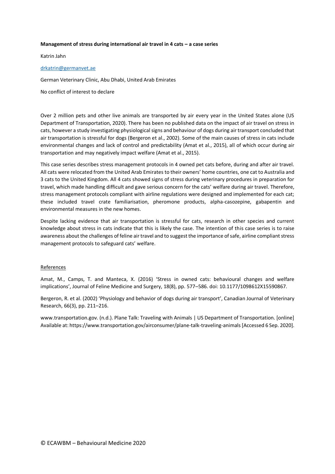### **Management of stress during international air travel in 4 cats – a case series**

Katrin Jahn

### [drkatrin@germanvet.ae](mailto:drkatrin@germanvet.ae)

German Veterinary Clinic, Abu Dhabi, United Arab Emirates

No conflict of interest to declare

Over 2 million pets and other live animals are transported by air every year in the United States alone (US Department of Transportation, 2020). There has been no published data on the impact of air travel on stress in cats, however a study investigating physiological signs and behaviour of dogs during air transport concluded that air transportation is stressful for dogs (Bergeron et al., 2002). Some of the main causes of stress in cats include environmental changes and lack of control and predictability (Amat et al., 2015), all of which occur during air transportation and may negatively impact welfare (Amat et al., 2015).

This case series describes stress management protocols in 4 owned pet cats before, during and after air travel. All cats were relocated from the United Arab Emirates to their owners' home countries, one cat to Australia and 3 cats to the United Kingdom. All 4 cats showed signs of stress during veterinary procedures in preparation for travel, which made handling difficult and gave serious concern for the cats' welfare during air travel. Therefore, stress management protocols compliant with airline regulations were designed and implemented for each cat; these included travel crate familiarisation, pheromone products, alpha-casozepine, gabapentin and environmental measures in the new homes.

Despite lacking evidence that air transportation is stressful for cats, research in other species and current knowledge about stress in cats indicate that this is likely the case. The intention of this case series is to raise awareness about the challenges of feline air travel and to suggest the importance of safe, airline compliant stress management protocols to safeguard cats' welfare.

#### **References**

Amat, M., Camps, T. and Manteca, X. (2016) 'Stress in owned cats: behavioural changes and welfare implications', Journal of Feline Medicine and Surgery, 18(8), pp. 577–586. doi: 10.1177/1098612X15590867.

Bergeron, R. et al. (2002) 'Physiology and behavior of dogs during air transport', Canadian Journal of Veterinary Research, 66(3), pp. 211–216.

www.transportation.gov. (n.d.). Plane Talk: Traveling with Animals | US Department of Transportation. [online] Available at: https://www.transportation.gov/airconsumer/plane-talk-traveling-animals [Accessed 6 Sep. 2020].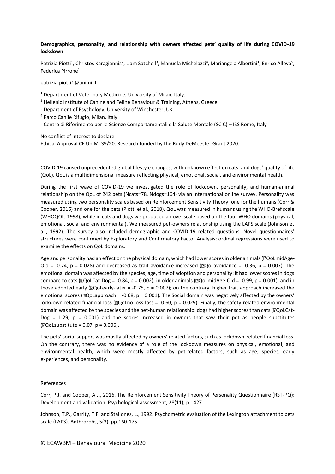# **Demographics, personality, and relationship with owners affected pets' quality of life during COVID-19 lockdown**

Patrizia Piotti<sup>1</sup>, Christos Karagiannis<sup>2</sup>, Liam Satchell<sup>3</sup>, Manuela Michelazzi<sup>4</sup>, Mariangela Albertini<sup>1</sup>, Enrico Alleva<sup>5</sup>, Federica Pirrone<sup>1</sup>

patrizia.piotti1@unimi.it

<sup>1</sup> Department of Veterinary Medicine, University of Milan, Italy.

 $2$  Hellenic Institute of Canine and Feline Behaviour & Training, Athens, Greece.

<sup>3</sup> Department of Psychology, University of Winchester, UK.

<sup>4</sup> Parco Canile Rifugio, Milan, Italy

<sup>5</sup> Centro di Riferimento per le Scienze Comportamentali e la Salute Mentale (SCIC) – ISS Rome, Italy

No conflict of interest to declare Ethical Approval CE UniMi 39/20. Research funded by the Rudy DeMeester Grant 2020.

COVID-19 caused unprecedented global lifestyle changes, with unknown effect on cats' and dogs' quality of life (QoL). QoL is a multidimensional measure reflecting physical, emotional, social, and environmental health.

During the first wave of COVID-19 we investigated the role of lockdown, personality, and human-animal relationship on the QoL of 242 pets (Ncats=78, Ndogs=164) via an international online survey. Personality was measured using two personality scales based on Reinforcement Sensitivity Theory, one for the humans (Corr & Cooper, 2016) and one for the pets (Piotti et al., 2018). QoL was measured in humans using the WHO-Bref scale (WHOQOL, 1998), while in cats and dogs we produced a novel scale based on the four WHO domains (physical, emotional, social and environmental). We measured pet-owners relationship using the LAPS scale (Johnson et al., 1992). The survey also included demographic and COVID-19 related questions. Novel questionnaires' structures were confirmed by Exploratory and Confirmatory Factor Analysis; ordinal regressions were used to examine the effects on QoL domains.

Age and personality had an effect on the physical domain, which had lower scores in older animals (**aQoLmidAge-**Old = -0.74, p = 0.028) and decreased as trait avoidance increased ( $\text{QQolavooidance}$  = -0.36, p = 0.007). The emotional domain was affected by the species, age, time of adoption and personality: it had lower scores in dogs compare to cats ( $\text{QQoLCat-Dog}$  = -0.84, p = 0.002), in older animals ( $\text{QQoLmidAge-OId}$  = -0.99, p = 0.001), and in those adopted early  $\left[\frac{10}{2}Qolearly-later = -0.75, p = 0.007\right]$ ; on the contrary, higher trait approach increased the emotional scores ( $\Omega$ QoLapproach = -0.68, p = 0.001). The Social domain was negatively affected by the owners' lockdown-related financial loss ( $\text{QQolno loss-loss} = -0.60$ ,  $p = 0.029$ ). Finally, the safety-related environmental domain was affected by the species and the pet-human relationship: dogs had higher scores than cats (**aQoLCat-** $Dog = 1.29$ ,  $p = 0.001$  and the scores increased in owners that saw their pet as people substitutes  $[2Qolsubstitute = 0.07, p = 0.006].$ 

The pets' social support was mostly affected by owners' related factors, such as lockdown-related financial loss. On the contrary, there was no evidence of a role of the lockdown measures on physical, emotional, and environmental health, which were mostly affected by pet-related factors, such as age, species, early experiences, and personality.

#### **References**

Corr, P.J. and Cooper, A.J., 2016. The Reinforcement Sensitivity Theory of Personality Questionnaire (RST-PQ): Development and validation. Psychological assessment, 28(11), p.1427.

Johnson, T.P., Garrity, T.F. and Stallones, L., 1992. Psychometric evaluation of the Lexington attachment to pets scale (LAPS). Anthrozoös, 5(3), pp.160-175.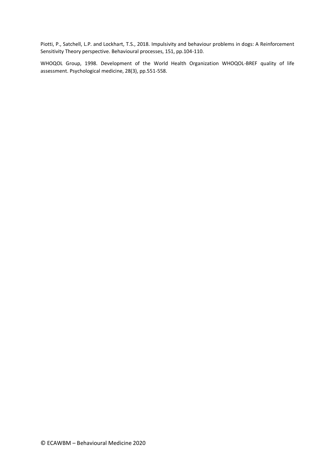Piotti, P., Satchell, L.P. and Lockhart, T.S., 2018. Impulsivity and behaviour problems in dogs: A Reinforcement Sensitivity Theory perspective. Behavioural processes, 151, pp.104-110.

WHOQOL Group, 1998. Development of the World Health Organization WHOQOL-BREF quality of life assessment. Psychological medicine, 28(3), pp.551-558.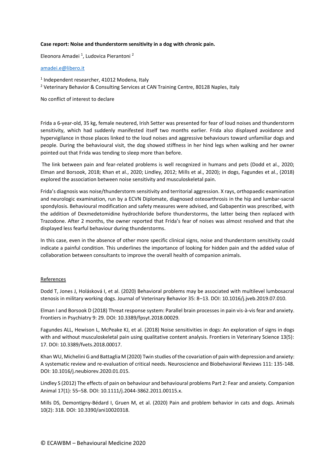# **Case report: Noise and thunderstorm sensitivity in a dog with chronic pain.**

Eleonora Amadei<sup>1</sup>, Ludovica Pierantoni<sup>2</sup>

# [amadei.e@libero.it](mailto:amadei.e@libero.it)

- 1 Independent researcher, 41012 Modena, Italy
- <sup>2</sup> Veterinary Behavior & Consulting Services at CAN Training Centre, 80128 Naples, Italy

No conflict of interest to declare

Frida a 6-year-old, 35 kg, female neutered, Irish Setter was presented for fear of loud noises and thunderstorm sensitivity, which had suddenly manifested itself two months earlier. Frida also displayed avoidance and hypervigilance in those places linked to the loud noises and aggressive behaviours toward unfamiliar dogs and people. During the behavioural visit, the dog showed stiffness in her hind legs when walking and her owner pointed out that Frida was tending to sleep more than before.

The link between pain and fear-related problems is well recognized in humans and pets (Dodd et al., 2020; Elman and Borsook, 2018; Khan et al., 2020; Lindley, 2012; Mills et al., 2020); in dogs, Fagundes et al., (2018) explored the association between noise sensitivity and musculoskeletal pain.

Frida's diagnosis was noise/thunderstorm sensitivity and territorial aggression. X rays, orthopaedic examination and neurologic examination, run by a ECVN Diplomate, diagnosed osteoarthrosis in the hip and lumbar-sacral spondylosis. Behavioural modification and safety measures were advised, and Gabapentin was prescribed, with the addition of Dexmedetomidine hydrochloride before thunderstorms, the latter being then replaced with Trazodone. After 2 months, the owner reported that Frida's fear of noises was almost resolved and that she displayed less fearful behaviour during thunderstorms.

In this case, even in the absence of other more specific clinical signs, noise and thunderstorm sensitivity could indicate a painful condition. This underlines the importance of looking for hidden pain and the added value of collaboration between consultants to improve the overall health of companion animals.

#### **References**

Dodd T, Jones J, Holásková I, et al. (2020) Behavioral problems may be associated with multilevel lumbosacral stenosis in military working dogs. Journal of Veterinary Behavior 35: 8–13. DOI: 10.1016/j.jveb.2019.07.010.

Elman I and Borsook D (2018) Threat response system: Parallel brain processes in pain vis-à-vis fear and anxiety. Frontiers in Psychiatry 9: 29. DOI: 10.3389/fpsyt.2018.00029.

Fagundes ALL, Hewison L, McPeake KJ, et al. (2018) Noise sensitivities in dogs: An exploration of signs in dogs with and without musculoskeletal pain using qualitative content analysis. Frontiers in Veterinary Science 13(5): 17. DOI: 10.3389/fvets.2018.00017.

Khan WU, Michelini G and Battaglia M (2020) Twin studies of the covariation of pain with depression and anxiety: A systematic review and re-evaluation of critical needs. Neuroscience and Biobehavioral Reviews 111: 135-148. DOI: 10.1016/j.neubiorev.2020.01.015.

Lindley S (2012) The effects of pain on behaviour and behavioural problems Part 2: Fear and anxiety. Companion Animal 17(1): 55–58. DOI: 10.1111/j.2044-3862.2011.00115.x.

Mills DS, Demontigny-Bédard I, Gruen M, et al. (2020) Pain and problem behavior in cats and dogs. Animals 10(2): 318. DOI: 10.3390/ani10020318.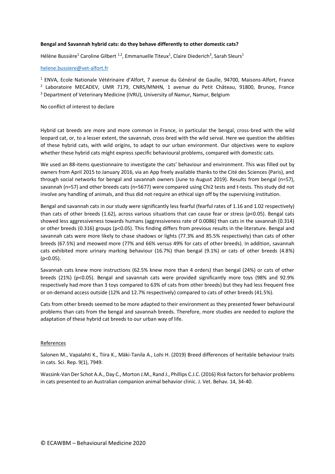# **Bengal and Savannah hybrid cats: do they behave differently to other domestic cats?**

Hélène Bussière<sup>1</sup> Caroline Gilbert<sup>1,2</sup>, Emmanuelle Titeux<sup>1</sup>, Claire Diederich<sup>3</sup>, Sarah Sleurs<sup>1</sup>

### [helene.bussiere@vet-alfort.fr](mailto:helene.bussiere@vet-alfort.fr)

<sup>1</sup> ENVA, Ecole Nationale Vétérinaire d'Alfort, 7 avenue du Général de Gaulle, 94700, Maisons-Alfort, France 2 Laboratoire MECADEV, UMR 7179, CNRS/MNHN, 1 avenue du Petit Château, 91800, Brunoy, France <sup>3</sup> Department of Veterinary Medicine (IVRU), University of Namur, Namur, Belgium

No conflict of interest to declare

Hybrid cat breeds are more and more common in France, in particular the bengal, cross-bred with the wild leopard cat, or, to a lesser extent, the savannah, cross-bred with the wild serval. Here we question the abilities of these hybrid cats, with wild origins, to adapt to our urban environment. Our objectives were to explore whether these hybrid cats might express specific behavioural problems, compared with domestic cats.

We used an 88-items questionnaire to investigate the cats' behaviour and environment. This was filled out by owners from April 2015 to January 2016, via an App freely available thanks to the Cité des Sciences (Paris), and through social networks for bengal and savannah owners (June to August 2019). Results from bengal (n=57), savannah (n=57) and other breeds cats (n=5677) were compared using Chi2 tests and t-tests. This study did not involve any handling of animals, and thus did not require an ethical sign off by the supervising institution.

Bengal and savannah cats in our study were significantly less fearful (fearful rates of 1.16 and 1.02 respectively) than cats of other breeds (1.62), across various situations that can cause fear or stress (p<0.05). Bengal cats showed less aggressiveness towards humans (aggressiveness rate of 0.0086) than cats in the savannah (0.314) or other breeds (0.316) groups (p<0.05). This finding differs from previous results in the literature. Bengal and savannah cats were more likely to chase shadows or lights (77.3% and 85.5% respectively) than cats of other breeds (67.5%) and meowed more (77% and 66% versus 49% for cats of other breeds). In addition, savannah cats exhibited more urinary marking behaviour (16.7%) than bengal (9.1%) or cats of other breeds (4.8%) (p<0.05).

Savannah cats knew more instructions (62.5% knew more than 4 orders) than bengal (24%) or cats of other breeds (21%) (p<0.05). Bengal and savannah cats were provided significantly more toys (98% and 92.9% respectively had more than 3 toys compared to 63% of cats from other breeds) but they had less frequent free or on-demand access outside (12% and 12.7% respectively) compared to cats of other breeds (41.5%).

Cats from other breeds seemed to be more adapted to their environment as they presented fewer behavioural problems than cats from the bengal and savannah breeds. Therefore, more studies are needed to explore the adaptation of these hybrid cat breeds to our urban way of life.

#### References

Salonen M., Vapalahti K., Tiira K., Mäki-Tanila A., Lohi H. (2019) Breed differences of heritable behaviour traits in cats. Sci. Rep. 9(1), 7949.

Wassink-Van Der Schot A.A., Day C., Morton J.M., Rand J., Phillips C.J.C. (2016) Risk factors for behavior problems in cats presented to an Australian companion animal behavior clinic. J. Vet. Behav. 14, 34‑40.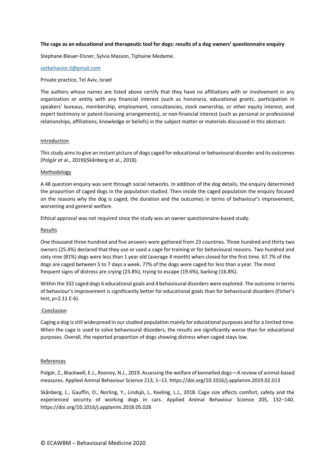### **The cage as an educational and therapeutic tool for dogs: results of a dog owners' questionnaire enquiry**

Stephane Bleuer-Elsner, Sylvia Masson, Tiphaine Medame.

#### [vetbehavior.il@gmail.com](mailto:vetbehavior.il@gmail.com)

#### Private practice, Tel Aviv, Israel

The authors whose names are listed above certify that they have no affiliations with or involvement in any organization or entity with any financial interest (such as honoraria, educational grants, participation in speakers' bureaus, membership, employment, consultancies, stock ownership, or other equity interest, and expert testimony or patent-licensing arrangements), or non-financial interest (such as personal or professional relationships, affiliations, knowledge or beliefs) in the subject matter or materials discussed in this abstract.

#### Introduction

This study aims to give an instant picture of dogs caged for educational or behavioural disorder and its outcomes (Polgár et al., 2019)(Skånberg et al., 2018).

### Methodology

A 48 question enquiry was sent through social networks. In addition of the dog details, the enquiry determined the proportion of caged dogs in the population studied. Then inside the caged population the enquiry focused on the reasons why the dog is caged, the duration and the outcomes in terms of behaviour's improvement, worsening and general welfare.

Ethical approval was not required since the study was an owner questionnaire-based study.

### Results

One thousand three hundred and five answers were gathered from 23 countries. Three hundred and thirty two owners (25.4%) declared that they use or used a cage for training or for behavioural reasons. Two hundred and sixty nine (81%) dogs were less than 1 year old (average 4 month) when closed for the first time. 67.7% of the dogs are caged between 5 to 7 days a week. 77% of the dogs were caged for less than a year. The most frequent signs of distress are crying (23.8%), trying to escape (19.6%), barking (16.8%).

Within the 332 caged dogs 6 educational goals and 4 behavioural disorders were explored. The outcome in terms of behaviour's improvement is significantly better for educational goals than for behavioural disorders (Fisher's test, p=2.11 E-6).

# **Conclusion**

Caging a dog is still widespread in our studied population mainly for educational purposes and for a limited time. When the cage is used to solve behavioural disorders, the results are significantly worse than for educational purposes. Overall, the reported proportion of dogs showing distress when caged stays low.

#### References

Polgár, Z., Blackwell, E.J., Rooney, N.J., 2019. Assessing the welfare of kennelled dogs—A review of animal-based measures. Applied Animal Behaviour Science 213, 1–13. https://doi.org/10.1016/j.applanim.2019.02.013

Skånberg, L., Gauffin, O., Norling, Y., Lindsjö, J., Keeling, L.J., 2018. Cage size affects comfort, safety and the experienced security of working dogs in cars. Applied Animal Behaviour Science 205, 132–140. https://doi.org/10.1016/j.applanim.2018.05.028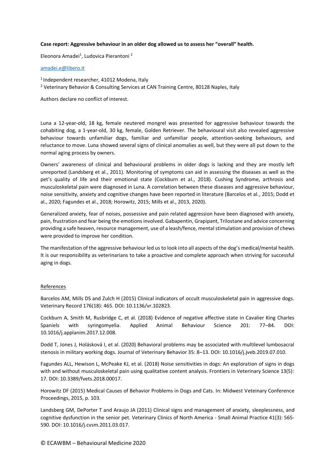# **Case report: Aggressive behaviour in an older dog allowed us to assess her "overall" health.**

Eleonora Amadei<sup>1</sup>, Ludovica Pierantoni<sup>2</sup>

### [amadei.e@libero.it](mailto:amadei.e@libero.it)

1 Independent researcher, 41012 Modena, Italy

<sup>2</sup> Veterinary Behavior & Consulting Services at CAN Training Centre, 80128 Naples, Italy

Authors declare no conflict of interest.

Luna a 12-year-old, 18 kg, female neutered mongrel was presented for aggressive behaviour towards the cohabiting dog, a 1-year-old, 30 kg, female, Golden Retriever. The behavioural visit also revealed aggressive behaviour towards unfamiliar dogs, familiar and unfamiliar people, attention-seeking behaviours, and reluctance to move. Luna showed several signs of clinical anomalies as well, but they were all put down to the normal aging process by owners.

Owners' awareness of clinical and behavioural problems in older dogs is lacking and they are mostly left unreported (Landsberg et al., 2011). Monitoring of symptoms can aid in assessing the diseases as well as the pet's quality of life and their emotional state (Cockburn et al., 2018). Cushing Syndrome, arthrosis and musculoskeletal pain were diagnosed in Luna. A correlation between these diseases and aggressive behaviour, noise sensitivity, anxiety and cognitive changes have been reported in literature (Barcelos et al., 2015; Dodd et al., 2020; Fagundes et al., 2018; Horowitz, 2015; Mills et al., 2013, 2020).

Generalized anxiety, fear of noises, possessive and pain related aggression have been diagnosed with anxiety, pain, frustration and fear being the emotionsinvolved. Gabapentin, Grapipant, Trilostane and advice concerning providing a safe heaven, resource management, use of a leash/fence, mental stimulation and provision of chews were provided to improve her condition.

The manifestation of the aggressive behaviour led us to look into all aspects of the dog's medical/mental health. It is our responsibility as veterinarians to take a proactive and complete approach when striving for successful aging in dogs.

# References

Barcelos AM, Mills DS and Zulch H (2015) Clinical indicators of occult musculoskeletal pain in aggressive dogs. Veterinary Record 176(18): 465. DOI: 10.1136/vr.102823.

Cockburn A, Smith M, Rusbridge C, et al. (2018) Evidence of negative affective state in Cavalier King Charles Spaniels with syringomyelia. Applied Animal Behaviour Science 201: 77–84. DOI: 10.1016/j.applanim.2017.12.008.

Dodd T, Jones J, Holásková I, et al. (2020) Behavioral problems may be associated with multilevel lumbosacral stenosis in military working dogs. Journal of Veterinary Behavior 35: 8–13. DOI: 10.1016/j.jveb.2019.07.010.

Fagundes ALL, Hewison L, McPeake KJ, et al. (2018) Noise sensitivities in dogs: An exploration of signs in dogs with and without musculoskeletal pain using qualitative content analysis. Frontiers in Veterinary Science 13(5): 17. DOI: 10.3389/fvets.2018.00017.

Horowitz DF (2015) Medical Causes of Behavior Problems in Dogs and Cats. In: Midwest Veteinary Conference Proceedings, 2015, p. 103.

Landsberg GM, DePorter T and Araujo JA (2011) Clinical signs and management of anxiety, sleeplessness, and cognitive dysfunction in the senior pet. Veterinary Clinics of North America - Small Animal Practice 41(3): 565- 590. DOI: 10.1016/j.cvsm.2011.03.017.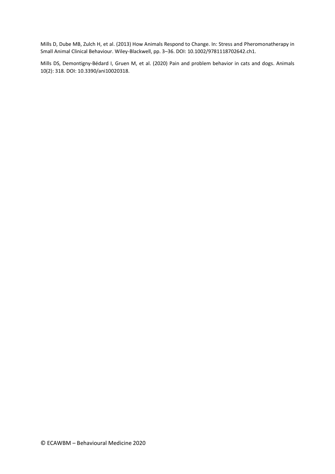Mills D, Dube MB, Zulch H, et al. (2013) How Animals Respond to Change. In: Stress and Pheromonatherapy in Small Animal Clinical Behaviour. Wiley-Blackwell, pp. 3–36. DOI: 10.1002/9781118702642.ch1.

Mills DS, Demontigny-Bédard I, Gruen M, et al. (2020) Pain and problem behavior in cats and dogs. Animals 10(2): 318. DOI: 10.3390/ani10020318.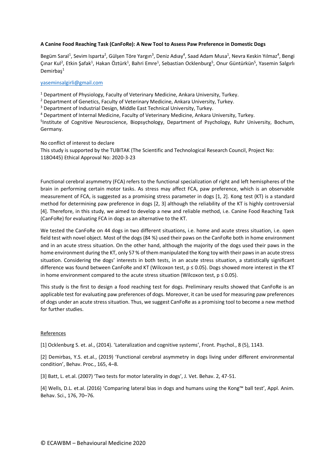# **A Canine Food Reaching Task (CanFoRe): A New Tool to Assess Paw Preference in Domestic Dogs**

Begüm Saral<sup>1</sup>, Sevim Isparta<sup>2</sup>, Gülşen Töre Yargın<sup>3</sup>, Deniz Adıay<sup>4</sup>, Saad Adam Musa<sup>1</sup>, Nevra Keskin Yılmaz<sup>4</sup>, Bengi Çınar Kul<sup>2</sup>, Etkin Şafak<sup>1</sup>, Hakan Öztürk<sup>1</sup>, Bahri Emre<sup>1</sup>, Sebastian Ocklenburg<sup>5</sup>, Onur Güntürkün<sup>5</sup>, Yasemin Salgırlı Demirbaş<sup>1</sup>

# [yaseminsalgirli@gmail.com](mailto:yaseminsalgirli@gmail.com)

<sup>1</sup> Department of Physiology, Faculty of Veterinary Medicine, Ankara University, Turkey.

<sup>2</sup> Department of Genetics, Faculty of Veterinary Medicine, Ankara University, Turkey.

<sup>3</sup> Department of Industrial Design, Middle East Technical University, Turkey.

<sup>4</sup> Department of Internal Medicine, Faculty of Veterinary Medicine, Ankara University, Turkey.

<sup>5</sup>Institute of Cognitive Neuroscience, Biopsychology, Department of Psychology, Ruhr University, Bochum, Germany.

No conflict of interest to declare

This study is supported by the TUBITAK (The Scientific and Technological Research Council, Project No: 118O445) Ethical Approval No: 2020-3-23

Functional cerebral asymmetry (FCA) refers to the functional specialization of right and left hemispheres of the brain in performing certain motor tasks. As stress may affect FCA, paw preference, which is an observable measurement of FCA, is suggested as a promising stress parameter in dogs [1, 2]. Kong test (KT) is a standard method for determining paw preference in dogs [2, 3] although the reliability of the KT is highly controversial [4]. Therefore, in this study, we aimed to develop a new and reliable method, i.e. Canine Food Reaching Task (CanFoRe) for evaluating FCA in dogs as an alternative to the KT.

We tested the CanFoRe on 44 dogs in two different situations, i.e. home and acute stress situation, i.e. open field test with novel object. Most of the dogs (84 %) used their paws on the CanFoRe both in home environment and in an acute stress situation. On the other hand, although the majority of the dogs used their paws in the home environment during the KT, only 57 % of them manipulated the Kong toy with their paws in an acute stress situation. Considering the dogs' interests in both tests, in an acute stress situation, a statistically significant difference was found between CanFoRe and KT (Wilcoxon test, p ≤ 0.05). Dogs showed more interest in the KT in home environment compared to the acute stress situation (Wilcoxon test,  $p \le 0.05$ ).

This study is the first to design a food reaching test for dogs. Preliminary results showed that CanFoRe is an applicable test for evaluating paw preferences of dogs. Moreover, it can be used for measuring paw preferences of dogs under an acute stress situation. Thus, we suggest CanFoRe as a promising tool to become a new method for further studies.

#### References

[1] Ocklenburg S. et. al., (2014). 'Lateralization and cognitive systems', Front. Psychol., 8 (5), 1143.

[2] Demirbas, Y.S. et.al., (2019) 'Functional cerebral asymmetry in dogs living under different environmental condition', Behav. Proc., 165, 4–8.

[3] Batt, L. et.al. (2007) 'Two tests for motor laterality in dogs', J. Vet. Behav. 2, 47-51.

[4] Wells, D.L. et.al. (2016) 'Comparing lateral bias in dogs and humans using the Kong™ ball test', Appl. Anim. Behav. Sci., 176, 70–76.